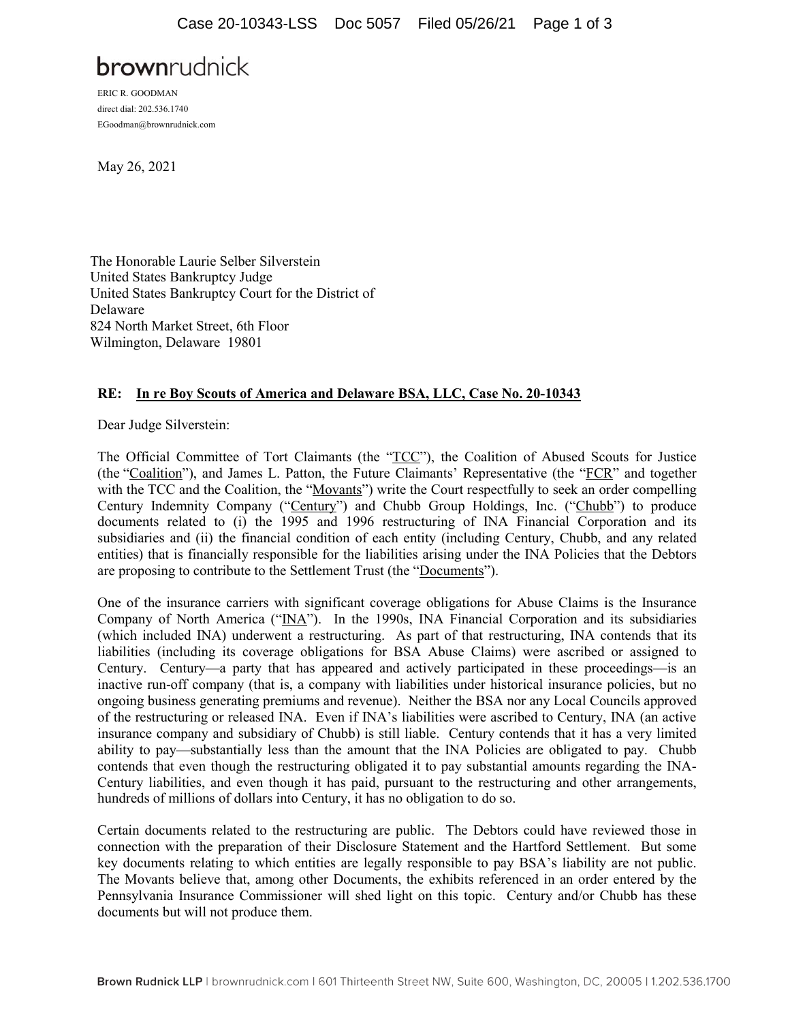# **brown**rudnick

ERIC R. GOODMAN direct dial: 202.536.1740 EGoodman@brownrudnick.com

May 26, 2021

The Honorable Laurie Selber Silverstein United States Bankruptcy Judge United States Bankruptcy Court for the District of Delaware 824 North Market Street, 6th Floor Wilmington, Delaware 19801

#### **RE: In re Boy Scouts of America and Delaware BSA, LLC, Case No. 20-10343**

Dear Judge Silverstein:

The Official Committee of Tort Claimants (the "TCC"), the Coalition of Abused Scouts for Justice (the "Coalition"), and James L. Patton, the Future Claimants' Representative (the "FCR" and together with the TCC and the Coalition, the "Movants") write the Court respectfully to seek an order compelling Century Indemnity Company ("Century") and Chubb Group Holdings, Inc. ("Chubb") to produce documents related to (i) the 1995 and 1996 restructuring of INA Financial Corporation and its subsidiaries and (ii) the financial condition of each entity (including Century, Chubb, and any related entities) that is financially responsible for the liabilities arising under the INA Policies that the Debtors are proposing to contribute to the Settlement Trust (the "Documents").

One of the insurance carriers with significant coverage obligations for Abuse Claims is the Insurance Company of North America (" $\overline{INA}$ "). In the 1990s, INA Financial Corporation and its subsidiaries (which included INA) underwent a restructuring. As part of that restructuring, INA contends that its liabilities (including its coverage obligations for BSA Abuse Claims) were ascribed or assigned to Century. Century—a party that has appeared and actively participated in these proceedings—is an inactive run-off company (that is, a company with liabilities under historical insurance policies, but no ongoing business generating premiums and revenue). Neither the BSA nor any Local Councils approved of the restructuring or released INA. Even if INA's liabilities were ascribed to Century, INA (an active insurance company and subsidiary of Chubb) is still liable. Century contends that it has a very limited ability to pay—substantially less than the amount that the INA Policies are obligated to pay. Chubb contends that even though the restructuring obligated it to pay substantial amounts regarding the INA-Century liabilities, and even though it has paid, pursuant to the restructuring and other arrangements, hundreds of millions of dollars into Century, it has no obligation to do so.

Certain documents related to the restructuring are public. The Debtors could have reviewed those in connection with the preparation of their Disclosure Statement and the Hartford Settlement. But some key documents relating to which entities are legally responsible to pay BSA's liability are not public. The Movants believe that, among other Documents, the exhibits referenced in an order entered by the Pennsylvania Insurance Commissioner will shed light on this topic. Century and/or Chubb has these documents but will not produce them.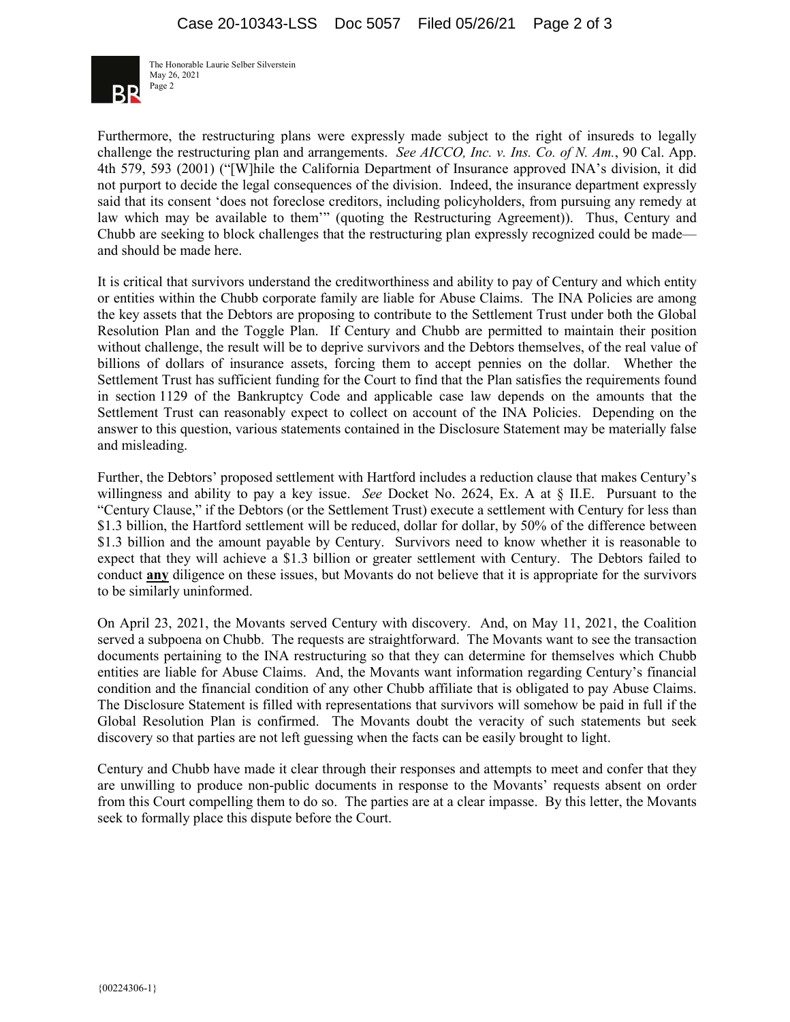

The Honorable Laurie Selber Silverstein May 26, 2021 Page 2

Furthermore, the restructuring plans were expressly made subject to the right of insureds to legally challenge the restructuring plan and arrangements. *See AICCO, Inc. v. Ins. Co. of N. Am.*, 90 Cal. App. 4th 579, 593 (2001) ("[W]hile the California Department of Insurance approved INA's division, it did not purport to decide the legal consequences of the division. Indeed, the insurance department expressly said that its consent 'does not foreclose creditors, including policyholders, from pursuing any remedy at law which may be available to them'" (quoting the Restructuring Agreement)). Thus, Century and Chubb are seeking to block challenges that the restructuring plan expressly recognized could be made and should be made here.

It is critical that survivors understand the creditworthiness and ability to pay of Century and which entity or entities within the Chubb corporate family are liable for Abuse Claims. The INA Policies are among the key assets that the Debtors are proposing to contribute to the Settlement Trust under both the Global Resolution Plan and the Toggle Plan. If Century and Chubb are permitted to maintain their position without challenge, the result will be to deprive survivors and the Debtors themselves, of the real value of billions of dollars of insurance assets, forcing them to accept pennies on the dollar. Whether the Settlement Trust has sufficient funding for the Court to find that the Plan satisfies the requirements found in section 1129 of the Bankruptcy Code and applicable case law depends on the amounts that the Settlement Trust can reasonably expect to collect on account of the INA Policies. Depending on the answer to this question, various statements contained in the Disclosure Statement may be materially false and misleading.

Further, the Debtors' proposed settlement with Hartford includes a reduction clause that makes Century's willingness and ability to pay a key issue. *See* Docket No. 2624, Ex. A at § II.E. Pursuant to the "Century Clause," if the Debtors (or the Settlement Trust) execute a settlement with Century for less than \$1.3 billion, the Hartford settlement will be reduced, dollar for dollar, by 50% of the difference between \$1.3 billion and the amount payable by Century. Survivors need to know whether it is reasonable to expect that they will achieve a \$1.3 billion or greater settlement with Century. The Debtors failed to conduct **any** diligence on these issues, but Movants do not believe that it is appropriate for the survivors to be similarly uninformed.

On April 23, 2021, the Movants served Century with discovery. And, on May 11, 2021, the Coalition served a subpoena on Chubb. The requests are straightforward. The Movants want to see the transaction documents pertaining to the INA restructuring so that they can determine for themselves which Chubb entities are liable for Abuse Claims. And, the Movants want information regarding Century's financial condition and the financial condition of any other Chubb affiliate that is obligated to pay Abuse Claims. The Disclosure Statement is filled with representations that survivors will somehow be paid in full if the Global Resolution Plan is confirmed. The Movants doubt the veracity of such statements but seek discovery so that parties are not left guessing when the facts can be easily brought to light.

Century and Chubb have made it clear through their responses and attempts to meet and confer that they are unwilling to produce non-public documents in response to the Movants' requests absent on order from this Court compelling them to do so. The parties are at a clear impasse. By this letter, the Movants seek to formally place this dispute before the Court.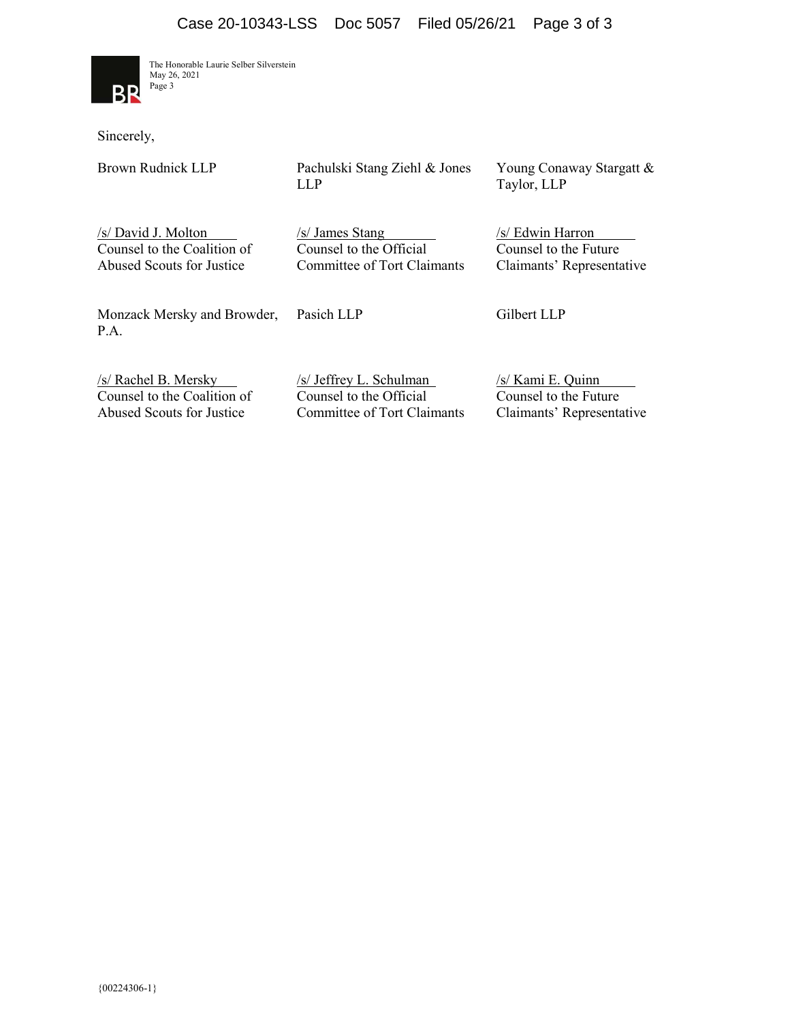

The Honorable Laurie Selber Silverstein May 26, 2021 Page 3

Sincerely,

Brown Rudnick LLP

Pachulski Stang Ziehl & Jones LLP

Young Conaway Stargatt & Taylor, LLP

/s/ David J. Molton Counsel to the Coalition of Abused Scouts for Justice

/s/ James Stang Counsel to the Official Committee of Tort Claimants /s/ Edwin Harron Counsel to the Future Claimants' Representative

Monzack Mersky and Browder, P.A.

Pasich LLP

Gilbert LLP

/s/ Rachel B. Mersky Counsel to the Coalition of Abused Scouts for Justice

/s/ Jeffrey L. Schulman Counsel to the Official Committee of Tort Claimants /s/ Kami E. Quinn Counsel to the Future Claimants' Representative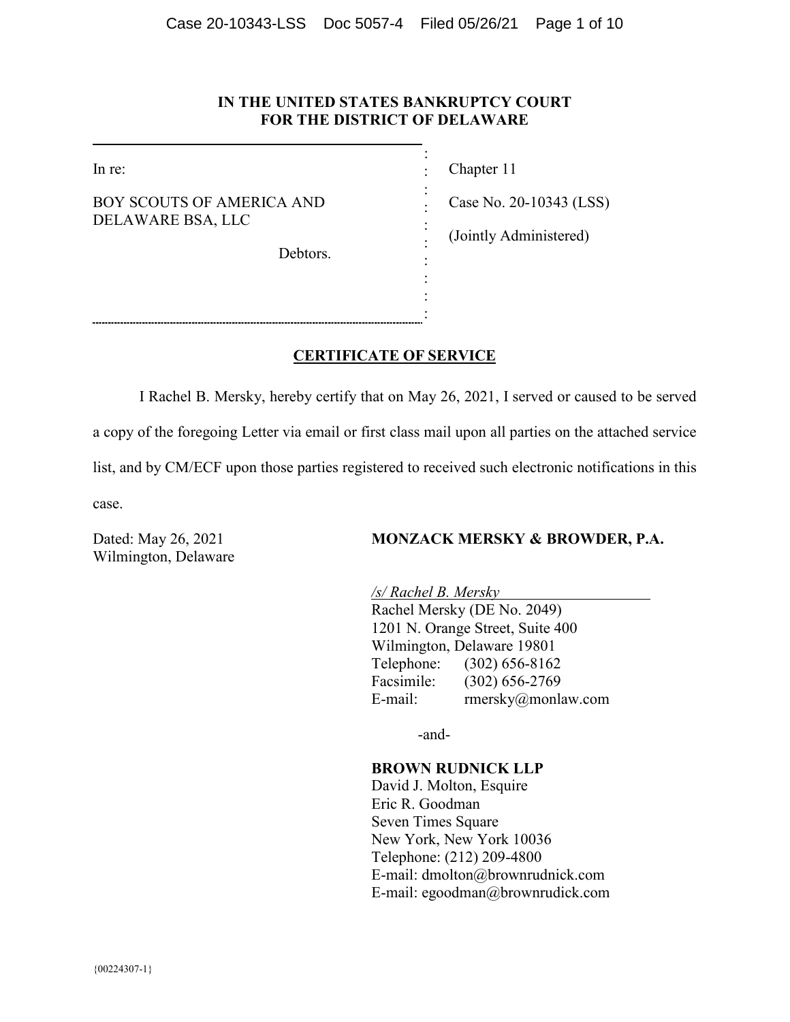#### **IN THE UNITED STATES BANKRUPTCY COURT FOR THE DISTRICT OF DELAWARE**

: : : : : : : : : :

In re:

BOY SCOUTS OF AMERICA AND DELAWARE BSA, LLC

Debtors.

Chapter 11

Case No. 20-10343 (LSS)

(Jointly Administered)

#### **CERTIFICATE OF SERVICE**

I Rachel B. Mersky, hereby certify that on May 26, 2021, I served or caused to be served a copy of the foregoing Letter via email or first class mail upon all parties on the attached service list, and by CM/ECF upon those parties registered to received such electronic notifications in this case.

Wilmington, Delaware

#### Dated: May 26, 2021 **MONZACK MERSKY & BROWDER, P.A.**

*/s/ Rachel B. Mersky*  Rachel Mersky (DE No. 2049) 1201 N. Orange Street, Suite 400 Wilmington, Delaware 19801 Telephone: (302) 656-8162 Facsimile: (302) 656-2769 E-mail: rmersky@monlaw.com

-and-

#### **BROWN RUDNICK LLP**

David J. Molton, Esquire Eric R. Goodman Seven Times Square New York, New York 10036 Telephone: (212) 209-4800 E-mail: dmolton@brownrudnick.com E-mail: egoodman@brownrudick.com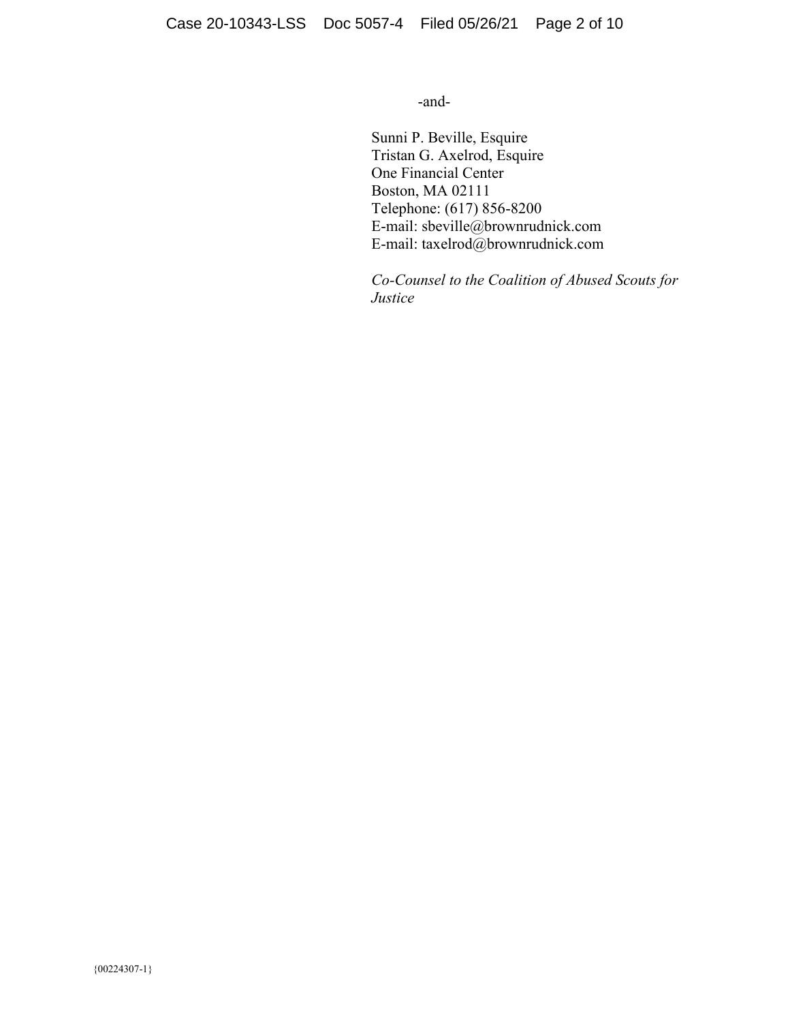-and-

Sunni P. Beville, Esquire Tristan G. Axelrod, Esquire One Financial Center Boston, MA 02111 Telephone: (617) 856-8200 E-mail: sbeville@brownrudnick.com E-mail: taxelrod@brownrudnick.com

*Co-Counsel to the Coalition of Abused Scouts for Justice*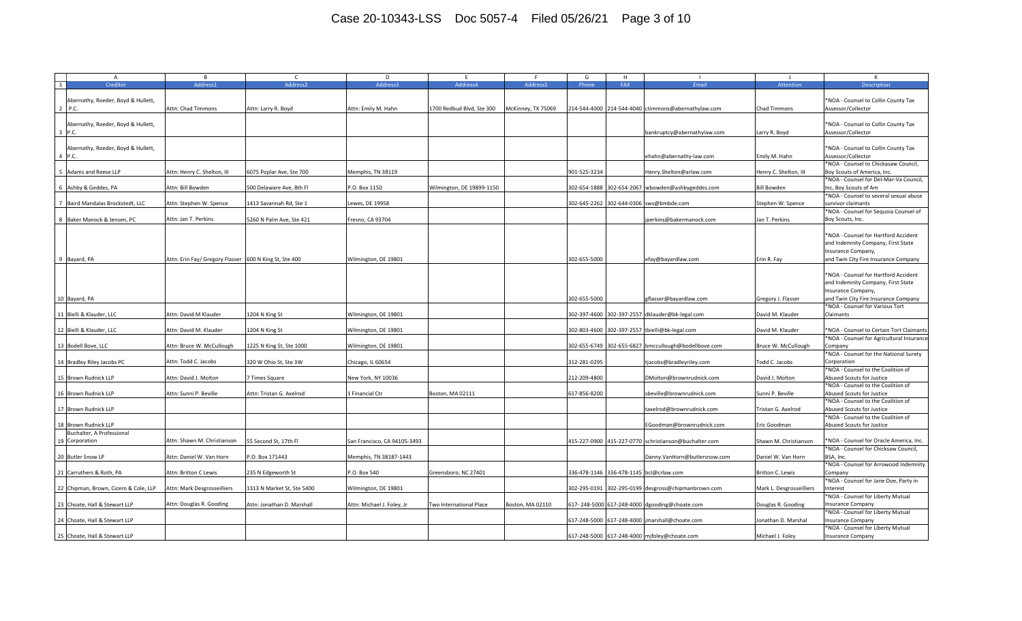| $\overline{A}$                               | B.                                                     | $\mathsf{C}$               | D                            | F.                             | F.                 | G            | H   |                                                       |                          | к                                                                                                                                        |
|----------------------------------------------|--------------------------------------------------------|----------------------------|------------------------------|--------------------------------|--------------------|--------------|-----|-------------------------------------------------------|--------------------------|------------------------------------------------------------------------------------------------------------------------------------------|
| Creditor<br>1                                | Address1                                               | Address2                   | Address3                     | Address4                       | Address5           | Phone        | FAX | Email                                                 | Attention                | <b>Description</b>                                                                                                                       |
| Abernathy, Roeder, Boyd & Hullett,<br>2 P.C. | Attn: Chad Timmons                                     | Attn: Larry R. Boyd        | Attn: Emily M. Hahn          | 700 Redbud Blvd, Ste 300       | McKinney, TX 75069 |              |     | 214-544-4000 214-544-4040 ctimmons@abernathylaw.com   | Chad Timmons             | *NOA - Counsel to Collin County Tax<br>Assessor/Collector                                                                                |
| Abernathy, Roeder, Boyd & Hullett,<br>3 P.C. |                                                        |                            |                              |                                |                    |              |     | bankruptcy@abernathylaw.com                           | Larry R. Boyd            | *NOA - Counsel to Collin County Tax<br>Assessor/Collector                                                                                |
| Abernathy, Roeder, Boyd & Hullett,<br>4 P.C. |                                                        |                            |                              |                                |                    |              |     | ehahn@abernathy-law.com                               | Emily M. Hahn            | *NOA - Counsel to Collin County Tax<br>Assessor/Collector                                                                                |
| 5 Adams and Reese LLP                        | Attn: Henry C. Shelton, III                            | 6075 Poplar Ave, Ste 700   | Memphis, TN 38119            |                                |                    | 901-525-3234 |     | Henry.Shelton@arlaw.com                               | Henry C. Shelton, III    | *NOA - Counsel to Chickasaw Council,<br>Boy Scouts of America, Inc.                                                                      |
| 6 Ashby & Geddes, PA                         | Attn: Bill Bowden                                      | 500 Delaware Ave, 8th Fl   | P.O. Box 1150                | Wilmington, DE 19899-1150      |                    | 302-654-1888 |     | 302-654-2067 wbowden@ashbygeddes.com                  | <b>Bill Bowden</b>       | *NOA - Counsel for Del-Mar-Va Council,<br>Inc, Boy Scouts of Am                                                                          |
| 7 Baird Mandalas Brockstedt, LLC             | Attn: Stephen W. Spence                                | 1413 Savannah Rd, Ste 1    | ewes, DE 19958               |                                |                    |              |     | 302-645-2262 302-644-0306 sws@bmbde.com               | Stephen W. Spence        | *NOA - Counsel to several sexual abuse<br>survivor claimants                                                                             |
| 8 Baker Manock & Jensen, PC                  | Attn: Jan T. Perkins                                   | 5260 N Palm Ave, Ste 421   | Fresno, CA 93704             |                                |                    |              |     | perkins@bakermanock.com                               | Jan T. Perkins           | *NOA - Counsel for Sequoia Counsel of<br>Boy Scouts, Inc.                                                                                |
| 9 Bayard, PA                                 | Attn: Erin Fay/ Gregory Flasser 600 N King St, Ste 400 |                            | Wilmington, DE 19801         |                                |                    | 302-655-5000 |     | efay@bayardlaw.com                                    | Erin R. Fay              | *NOA - Counsel for Hartford Accident<br>and Indemnity Company, First State<br>Insurance Company,<br>and Twin City Fire Insurance Company |
| 10 Bayard, PA                                |                                                        |                            |                              |                                |                    | 302-655-5000 |     | gflasser@bayardlaw.com                                | Gregory J. Flasser       | *NOA - Counsel for Hartford Accident<br>and Indemnity Company, First State<br>Insurance Company,<br>and Twin City Fire Insurance Company |
| 11 Bielli & Klauder, LLC                     | Attn: David M Klauder                                  | 1204 N King St             | Wilmington, DE 19801         |                                |                    |              |     | 302-397-4600 302-397-2557 dklauder@bk-legal.com       | David M. Klauder         | *NOA - Counsel for Various Tort<br>Claimants                                                                                             |
| 12 Bielli & Klauder, LLC                     | Attn: David M. Klauder                                 | 1204 N King St             | Wilmington, DE 19801         |                                |                    | 302-803-4600 |     | 302-397-2557 tbielli@bk-legal.com                     | David M. Klauder         | *NOA - Counsel to Certain Tort Claimants                                                                                                 |
| 13 Bodell Bove, LLC                          | Attn: Bruce W. McCullough                              | 1225 N King St, Ste 1000   | Wilmington, DE 19801         |                                |                    |              |     | 302-655-6749 302-655-6827 bmccullough@bodellbove.com  | Bruce W. McCullough      | *NOA - Counsel for Agricultural Insurance<br>Company                                                                                     |
| 14 Bradley Riley Jacobs PC                   | Attn: Todd C. Jacobs                                   | 320 W Ohio St, Ste 3W      | Chicago, IL 60654            |                                |                    | 312-281-0295 |     | tjacobs@bradleyriley.com                              | Todd C. Jacobs           | *NOA - Counsel for the National Surety<br>Corporation                                                                                    |
| 15 Brown Rudnick LLP                         | Attn: David J. Molton                                  | 7 Times Square             | New York, NY 10036           |                                |                    | 212-209-4800 |     | DMolton@brownrudnick.com                              | David J. Molton          | *NOA - Counsel to the Coalition of<br>Abused Scouts for Justice                                                                          |
| 16 Brown Rudnick LLP                         | Attn: Sunni P. Beville                                 | Attn: Tristan G. Axelrod   | 1 Financial Ctr              | Boston, MA 02111               |                    | 617-856-8200 |     | sbeville@brownrudnick.com                             | Sunni P. Beville         | *NOA - Counsel to the Coalition of<br>Abused Scouts for Justice                                                                          |
| 17 Brown Rudnick LLP                         |                                                        |                            |                              |                                |                    |              |     | taxelrod@brownrudnick.com                             | Tristan G. Axelrod       | *NOA - Counsel to the Coalition of<br>Abused Scouts for Justice                                                                          |
| 18 Brown Rudnick LLP                         |                                                        |                            |                              |                                |                    |              |     | EGoodman@brownrudnick.com                             | Eric Goodman             | *NOA - Counsel to the Coalition of<br>Abused Scouts for Justice                                                                          |
| Buchalter, A Professional<br>19 Corporation  | Attn: Shawn M. Christianson                            | 55 Second St, 17th Fl      | San Francisco, CA 94105-3493 |                                |                    |              |     | 415-227-0900 415-227-0770 schristianson@buchalter.com | Shawn M. Christianson    | *NOA - Counsel for Oracle America, Inc.                                                                                                  |
| 20 Butler Snow LP                            | Attn: Daniel W. Van Horn                               | P.O. Box 171443            | Memphis, TN 38187-1443       |                                |                    |              |     | Danny.VanHorn@butlersnow.com                          | Daniel W. Van Horn       | *NOA - Counsel for Chicksaw Council,<br>BSA, Inc.                                                                                        |
| 21 Carruthers & Roth, PA                     | Attn: Britton C Lewis                                  | 235 N Edgeworth St         | P.O. Box 540                 | Greensboro, NC 27401           |                    |              |     | 336-478-1146 336-478-1145 bcl@crlaw.com               | Britton C. Lewis         | *NOA - Counsel for Arrowood Indemnity<br>Company                                                                                         |
| 22 Chipman, Brown, Cicero & Cole, LLP        | Attn: Mark Desgrosseilliers                            | 1313 N Market St, Ste 5400 | Wilmington, DE 19801         |                                |                    |              |     | 302-295-0191 302-295-0199 desgross@chipmanbrown.com   | Mark L. Desgrosseilliers | *NOA - Counsel for Jane Doe, Party in<br>Interest                                                                                        |
| 23 Choate, Hall & Stewart LLP                | Attn: Douglas R. Gooding                               | Attn: Jonathan D. Marshall | Attn: Michael J. Foley, Jr   | <b>Two International Place</b> | Boston, MA 02110   |              |     | 617-248-5000 617-248-4000 dgooding@choate.com         | Douglas R. Gooding       | *NOA - Counsel for Liberty Mutual<br><b>Insurance Company</b>                                                                            |
| 24 Choate, Hall & Stewart LLP                |                                                        |                            |                              |                                |                    |              |     | 617-248-5000 617-248-4000 jmarshall@choate.com        | Jonathan D. Marshal      | *NOA - Counsel for Liberty Mutual<br><b>Insurance Company</b>                                                                            |
| 25 Choate, Hall & Stewart LLP                |                                                        |                            |                              |                                |                    |              |     | 617-248-5000 617-248-4000 mjfoley@choate.com          | Michael J. Foley         | *NOA - Counsel for Liberty Mutual<br><b>Insurance Company</b>                                                                            |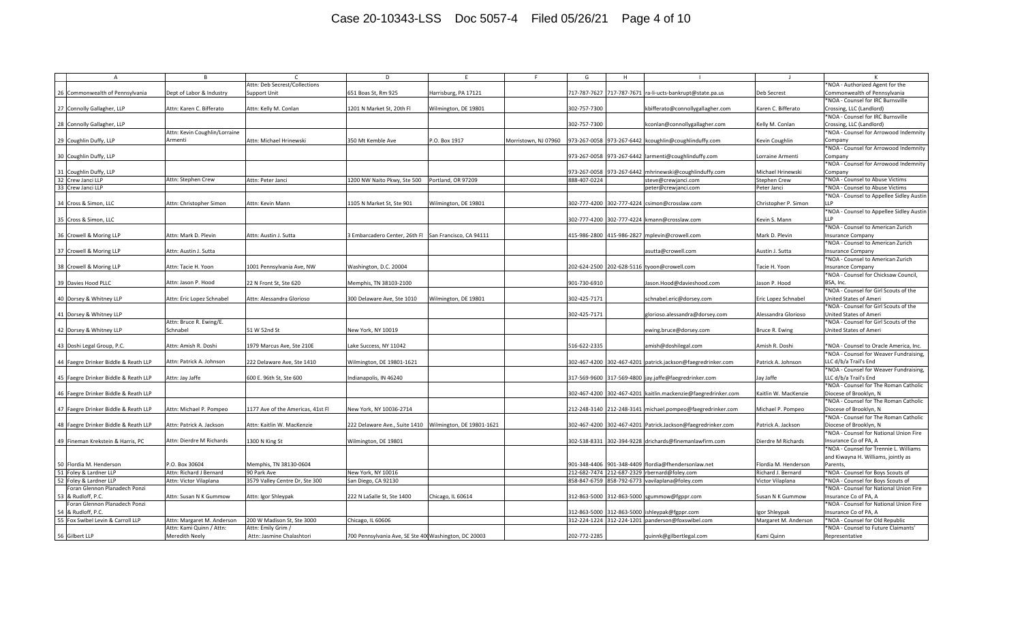## Case 20-10343-LSS Doc 5057-4 Filed 05/26/21 Page 4 of 10

| $\overline{A}$                       | B.                            |                                   | D                                                     | F.                        |                      | G            | H. |                                                               |                      |                                          |
|--------------------------------------|-------------------------------|-----------------------------------|-------------------------------------------------------|---------------------------|----------------------|--------------|----|---------------------------------------------------------------|----------------------|------------------------------------------|
|                                      |                               | Attn: Deb Secrest/Collections     |                                                       |                           |                      |              |    |                                                               |                      | *NOA - Authorized Agent for the          |
| 26 Commonwealth of Pennsylvania      | Dept of Labor & Industry      | <b>Support Unit</b>               | 651 Boas St, Rm 925                                   | Harrisburg, PA 17121      |                      |              |    | 717-787-7627 717-787-7671 ra-li-ucts-bankrupt@state.pa.us     | Deb Secrest          | Commonwealth of Pennsylvania             |
|                                      |                               |                                   |                                                       |                           |                      |              |    |                                                               |                      | *NOA - Counsel for IRC Burnsville        |
| 27 Connolly Gallagher, LLP           | Attn: Karen C. Bifferato      | Attn: Kelly M. Conlan             | 1201 N Market St, 20th Fl                             | Wilmington, DE 19801      |                      | 302-757-7300 |    | kbifferato@connollygallagher.com                              | Karen C. Bifferato   | Crossing, LLC (Landlord)                 |
|                                      |                               |                                   |                                                       |                           |                      |              |    |                                                               |                      | *NOA - Counsel for IRC Burnsville        |
| 28 Connolly Gallagher, LLP           |                               |                                   |                                                       |                           |                      | 302-757-7300 |    | kconlan@connollygallagher.com                                 | Kelly M. Conlan      | Crossing, LLC (Landlord)                 |
|                                      | Attn: Kevin Coughlin/Lorraine |                                   |                                                       |                           |                      |              |    |                                                               |                      | *NOA - Counsel for Arrowood Indemnity    |
| 29 Coughlin Duffy, LLP               | Armenti                       | Attn: Michael Hrinewski           | 350 Mt Kemble Ave                                     | P.O. Box 1917             | Morristown, NJ 07960 |              |    | 973-267-0058 973-267-6442 kcoughlin@coughlinduffy.com         | Kevin Coughlin       | Company                                  |
|                                      |                               |                                   |                                                       |                           |                      |              |    |                                                               |                      | *NOA - Counsel for Arrowood Indemnity    |
|                                      |                               |                                   |                                                       |                           |                      |              |    |                                                               |                      |                                          |
| 30 Coughlin Duffy, LLP               |                               |                                   |                                                       |                           |                      |              |    | 973-267-0058 973-267-6442 larmenti@coughlinduffy.com          | Lorraine Armenti     | Company                                  |
|                                      |                               |                                   |                                                       |                           |                      |              |    |                                                               |                      | *NOA - Counsel for Arrowood Indemnity    |
| 31 Coughlin Duffy, LLP               |                               |                                   |                                                       |                           |                      |              |    | 973-267-0058 973-267-6442 mhrinewski@coughlinduffy.com        | Michael Hrinewski    | Company                                  |
| 32 Crew Janci LLP                    | Attn: Stephen Crew            | Attn: Peter Janci                 | 1200 NW Naito Pkwy, Ste 500                           | Portland, OR 97209        |                      | 888-407-0224 |    | steve@crewjanci.com                                           | <b>Stephen Crew</b>  | *NOA - Counsel to Abuse Victims          |
| 33 Crew Janci LLP                    |                               |                                   |                                                       |                           |                      |              |    | peter@crewjanci.com                                           | Peter Janci          | NOA - Counsel to Abuse Victims           |
|                                      |                               |                                   |                                                       |                           |                      |              |    |                                                               |                      | *NOA - Counsel to Appellee Sidley Austin |
| 34 Cross & Simon, LLC                | Attn: Christopher Simon       | Attn: Kevin Mann                  | 1105 N Market St, Ste 901                             | Wilmington, DE 19801      |                      |              |    | 302-777-4200 302-777-4224 csimon@crosslaw.com                 | Christopher P. Simon |                                          |
|                                      |                               |                                   |                                                       |                           |                      |              |    |                                                               |                      | *NOA - Counsel to Appellee Sidley Austin |
| 35 Cross & Simon, LLC                |                               |                                   |                                                       |                           |                      |              |    | 302-777-4200 302-777-4224 kmann@crosslaw.com                  | Kevin S. Mann        |                                          |
|                                      |                               |                                   |                                                       |                           |                      |              |    |                                                               |                      | *NOA - Counsel to American Zurich        |
| 36 Crowell & Moring LLP              | Attn: Mark D. Plevin          | Attn: Austin J. Sutta             | 3 Embarcadero Center, 26th Fl San Francisco, CA 94111 |                           |                      |              |    | 415-986-2800 415-986-2827 mplevin@crowell.com                 | Mark D. Plevin       | <b>Insurance Company</b>                 |
|                                      |                               |                                   |                                                       |                           |                      |              |    |                                                               |                      | *NOA - Counsel to American Zurich        |
|                                      |                               |                                   |                                                       |                           |                      |              |    |                                                               |                      |                                          |
| 37 Crowell & Moring LLP              | Attn: Austin J. Sutta         |                                   |                                                       |                           |                      |              |    | asutta@crowell.com                                            | Austin J. Sutta      | Insurance Company                        |
|                                      |                               |                                   |                                                       |                           |                      |              |    |                                                               |                      | *NOA - Counsel to American Zurich        |
| 38 Crowell & Moring LLP              | Attn: Tacie H. Yoon           | .001 Pennsylvania Ave, NW         | Washington, D.C. 20004                                |                           |                      |              |    | 202-624-2500 202-628-5116 tyoon@crowell.com                   | Tacie H. Yoon        | Insurance Company                        |
|                                      |                               |                                   |                                                       |                           |                      |              |    |                                                               |                      | *NOA - Counsel for Chicksaw Council,     |
| 39 Davies Hood PLLC                  | Attn: Jason P. Hood           | 22 N Front St, Ste 620            | Memphis, TN 38103-2100                                |                           |                      | 901-730-6910 |    | lason.Hood@davieshood.com                                     | Jason P. Hood        | BSA, Inc.                                |
|                                      |                               |                                   |                                                       |                           |                      |              |    |                                                               |                      | *NOA - Counsel for Girl Scouts of the    |
| 40 Dorsey & Whitney LLP              | Attn: Eric Lopez Schnabe      | Attn: Alessandra Glorioso         | 300 Delaware Ave, Ste 1010                            | Wilmington, DE 19801      |                      | 302-425-7171 |    | chnabel.eric@dorsey.com                                       | Eric Lopez Schnabel  | Jnited States of Ameri                   |
|                                      |                               |                                   |                                                       |                           |                      |              |    |                                                               |                      | *NOA - Counsel for Girl Scouts of the    |
| 41 Dorsey & Whitney LLP              |                               |                                   |                                                       |                           |                      | 302-425-7171 |    | glorioso.alessandra@dorsey.com                                | Alessandra Glorioso  | <b>Jnited States of Ameri</b>            |
|                                      | Attn: Bruce R. Ewing/E.       |                                   |                                                       |                           |                      |              |    |                                                               |                      | *NOA - Counsel for Girl Scouts of the    |
| 42 Dorsey & Whitney LLP              | Schnabel                      | 51 W 52nd St                      | New York, NY 10019                                    |                           |                      |              |    | ewing.bruce@dorsey.com                                        | Bruce R. Ewing       | Jnited States of Ameri                   |
|                                      |                               |                                   |                                                       |                           |                      |              |    |                                                               |                      |                                          |
| 43 Doshi Legal Group, P.C.           | Attn: Amish R. Doshi          | 1979 Marcus Ave, Ste 210E         | Lake Success, NY 11042                                |                           |                      | 516-622-2335 |    | amish@doshilegal.com                                          | Amish R. Doshi       | *NOA - Counsel to Oracle America, Inc.   |
|                                      |                               |                                   |                                                       |                           |                      |              |    |                                                               |                      | *NOA - Counsel for Weaver Fundraising,   |
|                                      |                               |                                   |                                                       |                           |                      |              |    |                                                               |                      |                                          |
| 44 Faegre Drinker Biddle & Reath LLP | Attn: Patrick A. Johnson      | 222 Delaware Ave, Ste 1410        | Wilmington, DE 19801-1621                             |                           |                      |              |    | 302-467-4200 302-467-4201 patrick.jackson@faegredrinker.com   | Patrick A. Johnson   | LC d/b/a Trail's End                     |
|                                      |                               |                                   |                                                       |                           |                      |              |    |                                                               |                      | *NOA - Counsel for Weaver Fundraising,   |
| 45 Faegre Drinker Biddle & Reath LLP | Attn: Jay Jaffe               | 600 E. 96th St, Ste 600           | Indianapolis, IN 46240                                |                           |                      |              |    | 317-569-9600 317-569-4800 jay.jaffe@faegredrinker.com         | Jay Jaffe            | LLC d/b/a Trail's End                    |
|                                      |                               |                                   |                                                       |                           |                      |              |    |                                                               |                      | *NOA - Counsel for The Roman Catholic    |
| 46 Faegre Drinker Biddle & Reath LLP |                               |                                   |                                                       |                           |                      |              |    | 302-467-4200 302-467-4201 kaitlin.mackenzie@faegredrinker.com | Kaitlin W. MacKenzie | Diocese of Brooklyn, N                   |
|                                      |                               |                                   |                                                       |                           |                      |              |    |                                                               |                      | *NOA - Counsel for The Roman Catholic    |
| 47 Faegre Drinker Biddle & Reath LLP | Attn: Michael P. Pompeo       | 1177 Ave of the Americas, 41st Fl | New York, NY 10036-2714                               |                           |                      |              |    | 212-248-3140 212-248-3141 michael.pompeo@faegredrinker.com    | Michael P. Pompeo    | Diocese of Brooklyn, N                   |
|                                      |                               |                                   |                                                       |                           |                      |              |    |                                                               |                      | *NOA - Counsel for The Roman Catholic    |
| 48 Faegre Drinker Biddle & Reath LLP | Attn: Patrick A. Jackson      | Attn: Kaitlin W. MacKenzie        | 222 Delaware Ave., Suite 1410                         | Wilmington, DE 19801-1621 |                      | 302-467-4200 |    | 302-467-4201 Patrick.Jackson@faegredrinker.com                | Patrick A. Jackson   | Diocese of Brooklyn, N                   |
|                                      |                               |                                   |                                                       |                           |                      |              |    |                                                               |                      | *NOA - Counsel for National Union Fire   |
| 49 Fineman Krekstein & Harris, PC    | Attn: Dierdre M Richards      | 1300 N King St                    | Wilmington, DE 19801                                  |                           |                      |              |    | 302-538-8331 302-394-9228 drichards@finemanlawfirm.com        | Dierdre M Richards   | Insurance Co of PA, A                    |
|                                      |                               |                                   |                                                       |                           |                      |              |    |                                                               |                      | *NOA - Counsel for Trennie L. Williams   |
|                                      |                               |                                   |                                                       |                           |                      |              |    |                                                               |                      | and Kiwayna H. Williams, jointly as      |
| 50 Flordia M. Henderson              | P.O. Box 30604                | Memphis, TN 38130-0604            |                                                       |                           |                      |              |    | 901-348-4406 901-348-4409 flordia@fhendersonlaw.net           | Flordia M. Henderson | Parents,                                 |
| 51 Foley & Lardner LLP               | Attn: Richard J Bernard       | 90 Park Ave                       | New York, NY 10016                                    |                           |                      |              |    | 212-682-7474 212-687-2329 rbernard@foley.com                  | Richard J. Bernard   | *NOA - Counsel for Boys Scouts of        |
|                                      |                               |                                   |                                                       |                           |                      |              |    |                                                               |                      |                                          |
| 52 Foley & Lardner LLP               | Attn: Victor Vilaplana        | 3579 Valley Centre Dr, Ste 300    | San Diego, CA 92130                                   |                           |                      | 858-847-6759 |    | 858-792-6773 vavilaplana@foley.com                            | Victor Vilaplana     | *NOA - Counsel for Boys Scouts of        |
| Foran Glennon Planadech Ponzi        |                               |                                   |                                                       |                           |                      |              |    |                                                               |                      | *NOA - Counsel for National Union Fire   |
| 53 & Rudloff, P.C.                   | Attn: Susan N K Gummow        | Attn: Igor Shleypak               | 222 N LaSalle St, Ste 1400                            | Chicago, IL 60614         |                      | 312-863-5000 |    | 312-863-5000 sgummow@fgppr.com                                | Susan N K Gummow     | Insurance Co of PA, A                    |
| Foran Glennon Planadech Ponzi        |                               |                                   |                                                       |                           |                      |              |    |                                                               |                      | *NOA - Counsel for National Union Fire   |
| 54 & Rudloff, P.C.                   |                               |                                   |                                                       |                           |                      | 312-863-5000 |    | 312-863-5000 ishleypak@fgppr.com                              | gor Shleypak         | nsurance Co of PA, A                     |
| 55 Fox Swibel Levin & Carroll LLP    | Attn: Margaret M. Anderson    | 200 W Madison St, Ste 3000        | Chicago, IL 60606                                     |                           |                      |              |    | 312-224-1224 312-224-1201 panderson@foxswibel.com             | Margaret M. Anderson | *NOA - Counsel for Old Republic          |
|                                      | Attn: Kami Quinn / Attn:      | Attn: Emily Grim /                |                                                       |                           |                      |              |    |                                                               |                      | NOA - Counsel to Future Claimants'       |
| 56 Gilbert LLP                       | Meredith Neely                | Attn: Jasmine Chalashtori         | 700 Pennsylvania Ave, SE Ste 400 Washington, DC 20003 |                           |                      | 202-772-2285 |    | quinnk@gilbertlegal.com                                       | Kami Quinn           | Representative                           |
|                                      |                               |                                   |                                                       |                           |                      |              |    |                                                               |                      |                                          |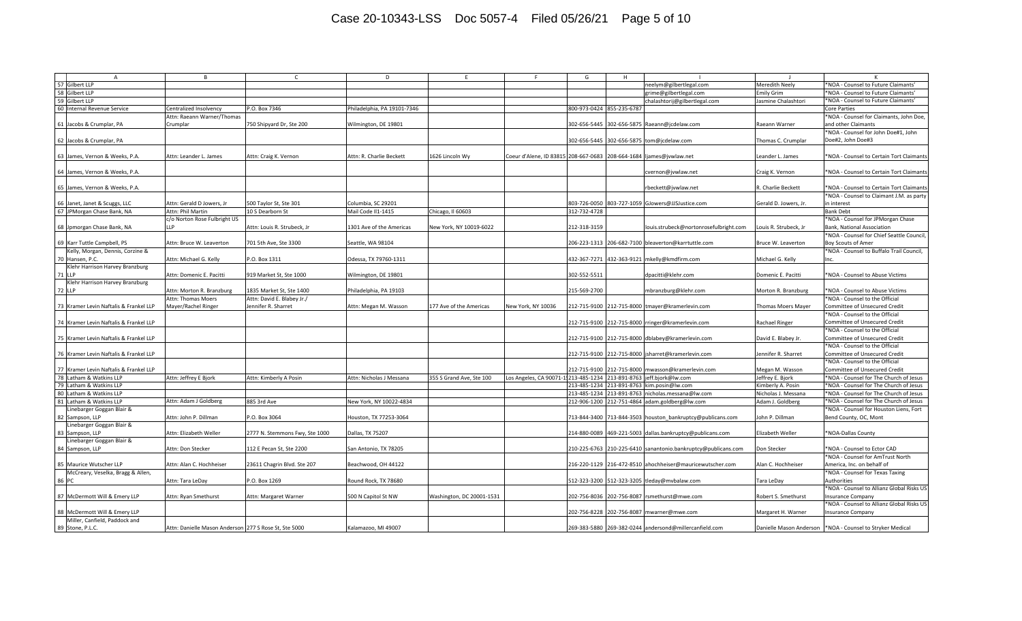## Case 20-10343-LSS Doc 5057-4 Filed 05/26/21 Page 5 of 10

| $\overline{A}$                         | B                                                     | $\mathsf{C}$                   | D                          | F.                        | F.                                                                   | G            | H                         |                                                            |                       |                                                            |
|----------------------------------------|-------------------------------------------------------|--------------------------------|----------------------------|---------------------------|----------------------------------------------------------------------|--------------|---------------------------|------------------------------------------------------------|-----------------------|------------------------------------------------------------|
|                                        |                                                       |                                |                            |                           |                                                                      |              |                           |                                                            |                       |                                                            |
| 57 Gilbert LLP                         |                                                       |                                |                            |                           |                                                                      |              |                           | neelym@gilbertlegal.com                                    | Meredith Neely        | *NOA - Counsel to Future Claimants'                        |
| 58 Gilbert LLP                         |                                                       |                                |                            |                           |                                                                      |              |                           | grime@gilbertlegal.com                                     | <b>Emily Grim</b>     | *NOA - Counsel to Future Claimants'                        |
| 59 Gilbert LLP                         |                                                       |                                |                            |                           |                                                                      |              |                           | chalashtorij@gilbertlegal.com                              | Jasmine Chalashtori   | *NOA - Counsel to Future Claimants'                        |
| 60 Internal Revenue Service            | Centralized Insolvency                                | P.O. Box 7346                  | hiladelphia, PA 19101-7346 |                           |                                                                      |              | 800-973-0424 855-235-6787 |                                                            |                       | <b>Core Parties</b>                                        |
|                                        | Attn: Raeann Warner/Thomas                            |                                |                            |                           |                                                                      |              |                           |                                                            |                       | *NOA - Counsel for Claimants, John Doe,                    |
| 61 Jacobs & Crumplar, PA               | Crumplar                                              | 750 Shipyard Dr, Ste 200       | Wilmington, DE 19801       |                           |                                                                      | 302-656-5445 |                           | 302-656-5875 Raeann@jcdelaw.com                            | Raeann Warner         | and other Claimants                                        |
|                                        |                                                       |                                |                            |                           |                                                                      |              |                           |                                                            |                       | *NOA - Counsel for John Doe#1, John                        |
| 62 Jacobs & Crumplar, PA               |                                                       |                                |                            |                           |                                                                      |              |                           | 302-656-5445 302-656-5875 tom@jcdelaw.com                  | Thomas C. Crumplar    | Doe#2, John Doe#3                                          |
|                                        |                                                       |                                |                            |                           |                                                                      |              |                           |                                                            |                       |                                                            |
|                                        |                                                       |                                |                            |                           |                                                                      |              |                           |                                                            |                       |                                                            |
| 63 James, Vernon & Weeks, P.A.         | Attn: Leander L. James                                | Attn: Craig K. Vernon          | Attn: R. Charlie Beckett   | 1626 Lincoln Wy           | Coeur d'Alene, ID 83815 208-667-0683 208-664-1684 ljames@jvwlaw.net  |              |                           |                                                            | Leander L. James      | *NOA - Counsel to Certain Tort Claimants                   |
|                                        |                                                       |                                |                            |                           |                                                                      |              |                           |                                                            |                       |                                                            |
| 64 James, Vernon & Weeks, P.A.         |                                                       |                                |                            |                           |                                                                      |              |                           | cvernon@jvwlaw.net                                         | Craig K. Vernon       | *NOA - Counsel to Certain Tort Claimants                   |
|                                        |                                                       |                                |                            |                           |                                                                      |              |                           |                                                            |                       |                                                            |
| 65 James, Vernon & Weeks, P.A.         |                                                       |                                |                            |                           |                                                                      |              |                           | rbeckett@jvwlaw.net                                        | R. Charlie Beckett    | *NOA - Counsel to Certain Tort Claimants                   |
|                                        |                                                       |                                |                            |                           |                                                                      |              |                           |                                                            |                       | *NOA - Counsel to Claimant J.M. as party                   |
| 66 Janet, Janet & Scuggs, LLC          | Attn: Gerald D Jowers, Jr                             | 500 Taylor St, Ste 301         | Columbia, SC 29201         |                           |                                                                      | 803-726-0050 |                           | 803-727-1059 GJowers@JJSJustice.com                        | Gerald D. Jowers, Jr. | in interest                                                |
| 67 JPMorgan Chase Bank, NA             | Attn: Phil Martin                                     | 10 S Dearborn St               | Mail Code II1-1415         | Chicago, Il 60603         |                                                                      | 312-732-4728 |                           |                                                            |                       | <b>Bank Debt</b>                                           |
|                                        |                                                       |                                |                            |                           |                                                                      |              |                           |                                                            |                       |                                                            |
|                                        | c/o Norton Rose Fulbright US                          |                                |                            |                           |                                                                      |              |                           |                                                            |                       | *NOA - Counsel for JPMorgan Chase                          |
| 68 Jpmorgan Chase Bank, NA             | <b>LLP</b>                                            | Attn: Louis R. Strubeck, Jr    | 1301 Ave of the Americas   | New York, NY 10019-6022   |                                                                      | 212-318-3159 |                           | louis.strubeck@nortonrosefulbright.com                     | Louis R. Strubeck, Jr | Bank, National Association                                 |
|                                        |                                                       |                                |                            |                           |                                                                      |              |                           |                                                            |                       | *NOA - Counsel for Chief Seattle Council,                  |
| 69 Karr Tuttle Campbell, PS            | Attn: Bruce W. Leaverton                              | 701 5th Ave, Ste 3300          | Seattle, WA 98104          |                           |                                                                      |              |                           | 206-223-1313 206-682-7100 bleaverton@karrtuttle.com        | Bruce W. Leaverton    | <b>Boy Scouts of Amer</b>                                  |
| Kelly, Morgan, Dennis, Corzine &       |                                                       |                                |                            |                           |                                                                      |              |                           |                                                            |                       | *NOA - Counsel to Buffalo Trail Council,                   |
| 70 Hansen, P.C.                        | Attn: Michael G. Kelly                                | P.O. Box 1311                  | Odessa, TX 79760-1311      |                           |                                                                      | 432-367-7271 |                           | 432-363-9121 mkelly@kmdfirm.com                            | Michael G. Kelly      | Inc.                                                       |
| Klehr Harrison Harvey Branzburg        |                                                       |                                |                            |                           |                                                                      |              |                           |                                                            |                       |                                                            |
| 71 LLP                                 | Attn: Domenic E. Pacitti                              | 919 Market St, Ste 1000        | Wilmington, DE 19801       |                           |                                                                      | 302-552-5511 |                           | dpacitti@klehr.com                                         | Domenic E. Pacitti    | *NOA - Counsel to Abuse Victims                            |
|                                        |                                                       |                                |                            |                           |                                                                      |              |                           |                                                            |                       |                                                            |
| Klehr Harrison Harvey Branzburg        |                                                       |                                |                            |                           |                                                                      |              |                           |                                                            |                       |                                                            |
| <b>72 LLP</b>                          | Attn: Morton R. Branzburg                             | 1835 Market St, Ste 1400       | Philadelphia, PA 19103     |                           |                                                                      | 215-569-2700 |                           | mbranzburg@klehr.com                                       | Morton R. Branzburg   | *NOA - Counsel to Abuse Victims                            |
|                                        | Attn: Thomas Moers                                    | Attn: David E. Blabey Jr./     |                            |                           |                                                                      |              |                           |                                                            |                       | *NOA - Counsel to the Official                             |
| 73 Kramer Levin Naftalis & Frankel LLP | Mayer/Rachel Ringer                                   | Jennifer R. Sharret            | Attn: Megan M. Wasson      | 77 Ave of the Americas    | New York, NY 10036                                                   |              |                           | 212-715-9100 212-715-8000 tmayer@kramerlevin.com           | Thomas Moers Mayer    | Committee of Unsecured Credit                              |
|                                        |                                                       |                                |                            |                           |                                                                      |              |                           |                                                            |                       | *NOA - Counsel to the Official                             |
| 74 Kramer Levin Naftalis & Frankel LLP |                                                       |                                |                            |                           |                                                                      |              |                           | 212-715-9100 212-715-8000 rringer@kramerlevin.com          | Rachael Ringer        | Committee of Unsecured Credit                              |
|                                        |                                                       |                                |                            |                           |                                                                      |              |                           |                                                            |                       | *NOA - Counsel to the Official                             |
| 75 Kramer Levin Naftalis & Frankel LLP |                                                       |                                |                            |                           |                                                                      |              |                           | 212-715-9100 212-715-8000 dblabey@kramerlevin.com          | David E. Blabey Jr.   | Committee of Unsecured Credit                              |
|                                        |                                                       |                                |                            |                           |                                                                      |              |                           |                                                            |                       |                                                            |
|                                        |                                                       |                                |                            |                           |                                                                      |              |                           |                                                            |                       | *NOA - Counsel to the Official                             |
| 76 Kramer Levin Naftalis & Frankel LLP |                                                       |                                |                            |                           |                                                                      |              |                           | 212-715-9100 212-715-8000 jsharret@kramerlevin.com         | Jennifer R. Sharret   | Committee of Unsecured Credit                              |
|                                        |                                                       |                                |                            |                           |                                                                      |              |                           |                                                            |                       | *NOA - Counsel to the Official                             |
| 77 Kramer Levin Naftalis & Frankel LLP |                                                       |                                |                            |                           |                                                                      |              |                           | 212-715-9100 212-715-8000 mwasson@kramerlevin.com          | Megan M. Wasson       | Committee of Unsecured Credit                              |
| 78 Latham & Watkins LLP                | Attn: Jeffrey E Bjork                                 | Attn: Kimberly A Posin         | Attn: Nicholas J Messana   | 355 S Grand Ave, Ste 100  | Los Angeles, CA 90071-1, 213-485-1234 213-891-8763 jeff.bjork@lw.com |              |                           |                                                            | Jeffrey E. Bjork      | *NOA - Counsel for The Church of Jesus                     |
| 79<br>Latham & Watkins LLP             |                                                       |                                |                            |                           |                                                                      | 213-485-1234 |                           | 213-891-8763 kim.posin@lw.com                              | Kimberly A. Posin     | *NOA - Counsel for The Church of Jesus                     |
| 80 Latham & Watkins LLP                |                                                       |                                |                            |                           |                                                                      |              |                           | 213-485-1234 213-891-8763 nicholas.messana@lw.com          | Nicholas J. Messana   | *NOA - Counsel for The Church of Jesus                     |
| 81 Latham & Watkins LLP                | Attn: Adam J Goldbers                                 | 885 3rd Ave                    | New York, NY 10022-4834    |                           |                                                                      |              |                           | 212-906-1200 212-751-4864 adam.goldberg@lw.com             | Adam J. Goldberg      | *NOA - Counsel for The Church of Jesus                     |
|                                        |                                                       |                                |                            |                           |                                                                      |              |                           |                                                            |                       | *NOA - Counsel for Houston Liens, Fort                     |
| Linebarger Goggan Blair &              |                                                       |                                |                            |                           |                                                                      |              |                           |                                                            |                       |                                                            |
| 82 Sampson, LLP                        | Attn: John P. Dillman                                 | P.O. Box 3064                  | Houston, TX 77253-3064     |                           |                                                                      |              |                           | 713-844-3400 713-844-3503 houston_bankruptcy@publicans.com | John P. Dillman       | Bend County, OC, Mont                                      |
| Linebarger Goggan Blair &              |                                                       |                                |                            |                           |                                                                      |              |                           |                                                            |                       |                                                            |
| 83 Sampson, LLP                        | Attn: Elizabeth Weller                                | 2777 N. Stemmons Fwy, Ste 1000 | Dallas, TX 75207           |                           |                                                                      | 214-880-0089 |                           | 469-221-5003 dallas.bankruptcy@publicans.com               | Elizabeth Weller      | *NOA-Dallas County                                         |
| Linebarger Goggan Blair &              |                                                       |                                |                            |                           |                                                                      |              |                           |                                                            |                       |                                                            |
| 84 Sampson, LLP                        | Attn: Don Stecker                                     | 112 E Pecan St, Ste 2200       | San Antonio, TX 78205      |                           |                                                                      | 210-225-6763 |                           | 210-225-6410 sanantonio.bankruptcy@publicans.com           | Don Stecker           | NOA - Counsel to Ector CAD*                                |
|                                        |                                                       |                                |                            |                           |                                                                      |              |                           |                                                            |                       | *NOA - Counsel for AmTrust North                           |
| 85 Maurice Wutscher LLP                | Attn: Alan C. Hochheiser                              | 23611 Chagrin Blvd. Ste 207    | Beachwood, OH 44122        |                           |                                                                      |              |                           | 216-220-1129 216-472-8510 ahochheiser@mauricewutscher.com  | Alan C. Hochheiser    | America, Inc. on behalf of                                 |
| McCreary, Veselka, Bragg & Allen,      |                                                       |                                |                            |                           |                                                                      |              |                           |                                                            |                       | *NOA - Counsel for Texas Taxing                            |
|                                        |                                                       |                                |                            |                           |                                                                      |              |                           |                                                            |                       |                                                            |
| 86 PC                                  | Attn: Tara LeDay                                      | P.O. Box 1269                  | Round Rock, TX 78680       |                           |                                                                      |              |                           | 512-323-3200 512-323-3205 tleday@mvbalaw.com               | Tara LeDay            | Authorities                                                |
|                                        |                                                       |                                |                            |                           |                                                                      |              |                           |                                                            |                       | *NOA - Counsel to Allianz Global Risks US                  |
| 87 McDermott Will & Emery LLP          | Attn: Ryan Smethurst                                  | Attn: Margaret Warner          | 500 N Capitol St NW        | Washington, DC 20001-1531 |                                                                      |              |                           | 202-756-8036 202-756-8087 rsmethurst@mwe.com               | Robert S. Smethurst   | <b>Insurance Company</b>                                   |
|                                        |                                                       |                                |                            |                           |                                                                      |              |                           |                                                            |                       | *NOA - Counsel to Allianz Global Risks US                  |
| 88 McDermott Will & Emery LLP          |                                                       |                                |                            |                           |                                                                      |              |                           | 202-756-8228 202-756-8087 mwarner@mwe.com                  | Margaret H. Warner    | <b>Insurance Company</b>                                   |
| Miller, Canfield, Paddock and          |                                                       |                                |                            |                           |                                                                      |              |                           |                                                            |                       |                                                            |
| 89 Stone, P.L.C.                       | Attn: Danielle Mason Anderson 277 S Rose St, Ste 5000 |                                | Kalamazoo, MI 49007        |                           |                                                                      |              |                           | 269-383-5880 269-382-0244 andersond@millercanfield.com     |                       | Danielle Mason Anderson  *NOA - Counsel to Stryker Medical |
|                                        |                                                       |                                |                            |                           |                                                                      |              |                           |                                                            |                       |                                                            |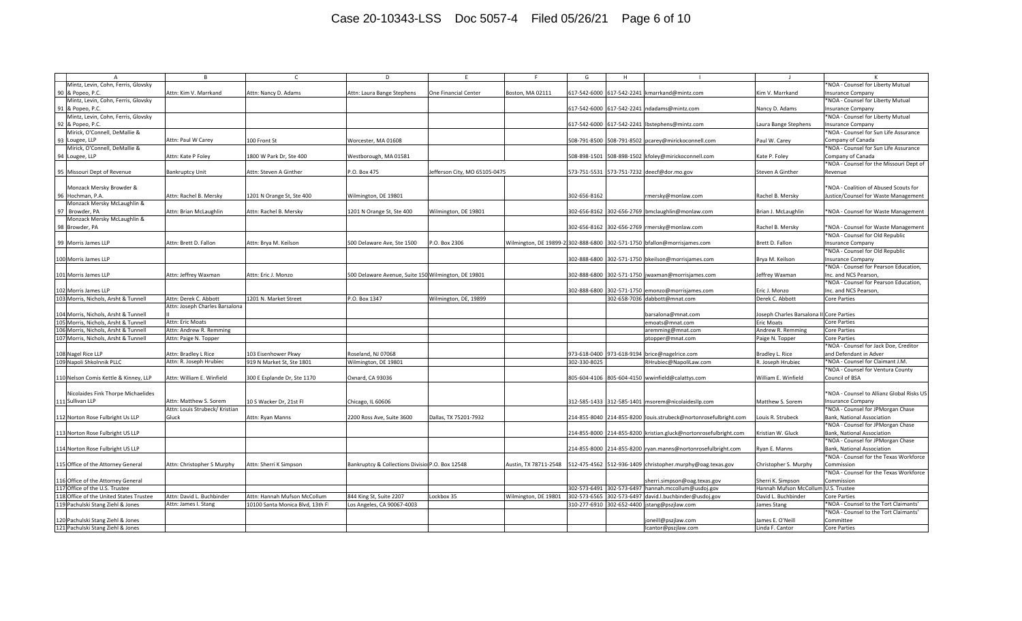## Case 20-10343-LSS Doc 5057-4 Filed 05/26/21 Page 6 of 10

| $\overline{A}$                          | <b>B</b>                       |                                  | D                                                   |                              |                                                 | G            | H                         |                                                                          |                                          |                                           |
|-----------------------------------------|--------------------------------|----------------------------------|-----------------------------------------------------|------------------------------|-------------------------------------------------|--------------|---------------------------|--------------------------------------------------------------------------|------------------------------------------|-------------------------------------------|
| Mintz, Levin, Cohn, Ferris, Glovsky     |                                |                                  |                                                     |                              |                                                 |              |                           |                                                                          |                                          | NOA - Counsel for Liberty Mutual          |
| 90 & Popeo, P.C.                        | Attn: Kim V. Marrkand          | Attn: Nancy D. Adams             | Attn: Laura Bange Stephens                          | <b>One Financial Center</b>  | Boston, MA 02111                                |              |                           | 617-542-6000 617-542-2241 kmarrkand@mintz.com                            | Kim V. Marrkand                          | nsurance Company                          |
| Mintz, Levin, Cohn, Ferris, Glovsky     |                                |                                  |                                                     |                              |                                                 |              |                           |                                                                          |                                          | *NOA - Counsel for Liberty Mutual         |
| 91 & Popeo, P.C.                        |                                |                                  |                                                     |                              |                                                 |              |                           | 617-542-6000 617-542-2241 ndadams@mintz.com                              | Nancy D. Adams                           | nsurance Company                          |
| Mintz, Levin, Cohn, Ferris, Glovsky     |                                |                                  |                                                     |                              |                                                 |              |                           |                                                                          |                                          | *NOA - Counsel for Liberty Mutual         |
| 92 & Popeo, P.C.                        |                                |                                  |                                                     |                              |                                                 |              |                           | 617-542-6000 617-542-2241 bstephens@mintz.com                            | Laura Bange Stephens                     | Insurance Company                         |
|                                         |                                |                                  |                                                     |                              |                                                 |              |                           |                                                                          |                                          |                                           |
| Mirick, O'Connell, DeMallie &           |                                |                                  |                                                     |                              |                                                 |              |                           |                                                                          |                                          | *NOA - Counsel for Sun Life Assurance     |
| 93 Lougee, LLP                          | Attn: Paul W Carey             | 100 Front St                     | Worcester, MA 01608                                 |                              |                                                 |              |                           | 508-791-8500 508-791-8502 pcarey@mirickoconnell.com                      | Paul W. Carey                            | Company of Canada                         |
| Mirick, O'Connell, DeMallie &           |                                |                                  |                                                     |                              |                                                 |              |                           |                                                                          |                                          | *NOA - Counsel for Sun Life Assurance     |
| 94 Lougee, LLP                          | Attn: Kate P Foley             | 1800 W Park Dr, Ste 400          | Westborough, MA 01581                               |                              |                                                 |              |                           | 508-898-1501 508-898-1502 kfoley@mirickoconnell.com                      | Kate P. Foley                            | Company of Canada                         |
|                                         |                                |                                  |                                                     |                              |                                                 |              |                           |                                                                          |                                          | *NOA - Counsel for the Missouri Dept of   |
| 95 Missouri Dept of Revenue             | <b>Bankruptcy Unit</b>         | Attn: Steven A Ginther           | P.O. Box 475                                        | efferson City, MO 65105-0475 |                                                 |              |                           | 573-751-5531 573-751-7232 deecf@dor.mo.gov                               | Steven A Ginther                         | Revenue                                   |
|                                         |                                |                                  |                                                     |                              |                                                 |              |                           |                                                                          |                                          |                                           |
| Monzack Mersky Browder &                |                                |                                  |                                                     |                              |                                                 |              |                           |                                                                          |                                          | *NOA - Coalition of Abused Scouts for     |
|                                         |                                |                                  |                                                     |                              |                                                 |              |                           |                                                                          |                                          |                                           |
| 96 Hochman, P.A.                        | Attn: Rachel B. Mersky         | 1201 N Orange St, Ste 400        | Wilmington, DE 19801                                |                              |                                                 | 302-656-8162 |                           | mersky@monlaw.com                                                        | Rachel B. Mersky                         | Justice/Counsel for Waste Management      |
| Monzack Mersky McLaughlin &             |                                |                                  |                                                     |                              |                                                 |              |                           |                                                                          |                                          |                                           |
| 97 Browder, PA                          | Attn: Brian McLaughlin         | Attn: Rachel B. Mersky           | 1201 N Orange St, Ste 400                           | Wilmington, DE 19801         |                                                 |              |                           | 302-656-8162 302-656-2769 bmclaughlin@monlaw.com                         | Brian J. McLaughlin                      | *NOA - Counsel for Waste Management       |
| Monzack Mersky McLaughlin &             |                                |                                  |                                                     |                              |                                                 |              |                           |                                                                          |                                          |                                           |
| 98 Browder, PA                          |                                |                                  |                                                     |                              |                                                 |              | 302-656-8162 302-656-2769 | rmersky@monlaw.com                                                       | Rachel B. Mersky                         | *NOA - Counsel for Waste Management       |
|                                         |                                |                                  |                                                     |                              |                                                 |              |                           |                                                                          |                                          | *NOA - Counsel for Old Republic           |
| 99 Morris James LLP                     | Attn: Brett D. Fallon          | Attn: Brya M. Keilson            | 500 Delaware Ave, Ste 1500                          | .O. Box 2306                 |                                                 |              |                           | Wilmington, DE 19899-21302-888-6800 302-571-1750 bfallon@morrisjames.com | Brett D. Fallon                          | nsurance Company                          |
|                                         |                                |                                  |                                                     |                              |                                                 |              |                           |                                                                          |                                          | NOA - Counsel for Old Republic            |
|                                         |                                |                                  |                                                     |                              |                                                 |              |                           |                                                                          |                                          |                                           |
| 100 Morris James LLP                    |                                |                                  |                                                     |                              |                                                 |              | 302-888-6800 302-571-1750 | bkeilson@morrisjames.com                                                 | Brya M. Keilson                          | <b>Insurance Company</b>                  |
|                                         |                                |                                  |                                                     |                              |                                                 |              |                           |                                                                          |                                          | *NOA - Counsel for Pearson Education,     |
| 101 Morris James LLP                    | Attn: Jeffrey Waxman           | Attn: Eric J. Monzo              | 500 Delaware Avenue, Suite 150 Wilmington, DE 19801 |                              |                                                 |              | 302-888-6800 302-571-1750 | jwaxman@morrisjames.com                                                  | Jeffrey Waxman                           | nc. and NCS Pearson,                      |
|                                         |                                |                                  |                                                     |                              |                                                 |              |                           |                                                                          |                                          | *NOA - Counsel for Pearson Education,     |
| 102 Morris James LLP                    |                                |                                  |                                                     |                              |                                                 |              | 302-888-6800 302-571-1750 | emonzo@morrisjames.com                                                   | Eric J. Monzo                            | nc. and NCS Pearson,                      |
| 103 Morris, Nichols, Arsht & Tunnell    | Attn: Derek C. Abbott          | 1201 N. Market Street            | P.O. Box 1347                                       | Wilmington, DE, 19899        |                                                 |              |                           | 302-658-7036 dabbott@mnat.com                                            | Derek C. Abbott                          | Core Parties                              |
|                                         | Attn: Joseph Charles Barsalona |                                  |                                                     |                              |                                                 |              |                           |                                                                          |                                          |                                           |
| 104 Morris, Nichols, Arsht & Tunnell    |                                |                                  |                                                     |                              |                                                 |              |                           | barsalona@mnat.com                                                       | loseph Charles Barsalona II Core Parties |                                           |
|                                         |                                |                                  |                                                     |                              |                                                 |              |                           |                                                                          |                                          |                                           |
| 105 Morris, Nichols, Arsht & Tunnell    | Attn: Eric Moats               |                                  |                                                     |                              |                                                 |              |                           | emoats@mnat.com                                                          | Eric Moats                               | Core Parties                              |
| 106 Morris, Nichols, Arsht & Tunnell    | Attn: Andrew R. Remming        |                                  |                                                     |                              |                                                 |              |                           | aremming@mnat.com                                                        | Andrew R. Remming                        | Core Parties                              |
| 107 Morris, Nichols, Arsht & Tunnell    | Attn: Paige N. Topper          |                                  |                                                     |                              |                                                 |              |                           | ptopper@mnat.com                                                         | Paige N. Topper                          | Core Parties                              |
|                                         |                                |                                  |                                                     |                              |                                                 |              |                           |                                                                          |                                          | *NOA - Counsel for Jack Doe, Creditor     |
| 108 Nagel Rice LLP                      | Attn: Bradley L Rice           | 103 Eisenhower Pkwy              | Roseland, NJ 07068                                  |                              |                                                 |              |                           | 973-618-0400 973-618-9194 brice@nagelrice.com                            | Bradley L. Rice                          | and Defendant in Adver                    |
| 109 Napoli Shkolnnik PLLC               | Attn: R. Joseph Hrubiec        | 919 N Market St, Ste 1801        | Wilmington, DE 19801                                |                              |                                                 | 302-330-8025 |                           | RHrubiec@NapoliLaw.com                                                   | R. Joseph Hrubiec                        | *NOA - Counsel for Claimant J.M.          |
|                                         |                                |                                  |                                                     |                              |                                                 |              |                           |                                                                          |                                          | *NOA - Counsel for Ventura County         |
| 110 Nelson Comis Kettle & Kinney, LLP   | Attn: William E. Winfield      | 300 E Esplande Dr, Ste 1170      | Oxnard, CA 93036                                    |                              |                                                 |              |                           | 805-604-4106 805-604-4150 wwinfield@calattys.com                         | William E. Winfield                      | Council of BSA                            |
|                                         |                                |                                  |                                                     |                              |                                                 |              |                           |                                                                          |                                          |                                           |
|                                         |                                |                                  |                                                     |                              |                                                 |              |                           |                                                                          |                                          |                                           |
| Nicolaides Fink Thorpe Michaelides      |                                |                                  |                                                     |                              |                                                 |              |                           |                                                                          |                                          | *NOA - Counsel to Allianz Global Risks US |
| 111 Sullivan LLP                        | Attn: Matthew S. Sorem         | 10 S Wacker Dr, 21st Fl          | Chicago, IL 60606                                   |                              |                                                 |              |                           | 312-585-1433 312-585-1401 msorem@nicolaidesllp.com                       | Matthew S. Sorem                         | <b>Insurance Company</b>                  |
|                                         | Attn: Louis Strubeck/ Kristian |                                  |                                                     |                              |                                                 |              |                           |                                                                          |                                          | *NOA - Counsel for JPMorgan Chase         |
| 112 Norton Rose Fulbright Us LLP        | Gluck                          | Attn: Ryan Manns                 | 2200 Ross Ave, Suite 3600                           | Dallas, TX 75201-7932        |                                                 |              |                           | 214-855-8040 214-855-8200 louis.strubeck@nortonrosefulbright.com         | ouis R. Strubeck                         | Bank, National Association                |
|                                         |                                |                                  |                                                     |                              |                                                 |              |                           |                                                                          |                                          | *NOA - Counsel for JPMorgan Chase         |
| 113 Norton Rose Fulbright US LLP        |                                |                                  |                                                     |                              |                                                 |              | 214-855-8000 214-855-8200 | kristian.gluck@nortonrosefulbright.com                                   | Cristian W. Gluck                        | Bank, National Association                |
|                                         |                                |                                  |                                                     |                              |                                                 |              |                           |                                                                          |                                          | *NOA - Counsel for JPMorgan Chase         |
| 114 Norton Rose Fulbright US LLP        |                                |                                  |                                                     |                              |                                                 |              | 214-855-8000 214-855-8200 | ryan.manns@nortonrosefulbright.com                                       | Ryan E. Manns                            | Bank, National Association                |
|                                         |                                |                                  |                                                     |                              |                                                 |              |                           |                                                                          |                                          | *NOA - Counsel for the Texas Workforce    |
|                                         |                                |                                  |                                                     |                              |                                                 |              |                           |                                                                          |                                          |                                           |
| 115 Office of the Attorney General      | Attn: Christopher S Murphy     | Attn: Sherri K Simpson           | Bankruptcy & Collections Divisio P.O. Box 12548     |                              | Austin, TX 78711-2548 512-475-4562 512-936-1409 |              |                           | christopher.murphy@oag.texas.gov                                         | Christopher S. Murphy                    | Commission                                |
|                                         |                                |                                  |                                                     |                              |                                                 |              |                           |                                                                          |                                          | *NOA - Counsel for the Texas Workforce    |
| 116 Office of the Attorney General      |                                |                                  |                                                     |                              |                                                 |              |                           | sherri.simpson@oag.texas.gov                                             | Sherri K. Simpson                        | Commission                                |
| 117 Office of the U.S. Trustee          |                                |                                  |                                                     |                              |                                                 |              | 302-573-6491 302-573-6497 | hannah.mccollum@usdoj.gov                                                | Hannah Mufson McCollum U.S. Trustee      |                                           |
| 118 Office of the United States Trustee | Attn: David L. Buchbinder      | Attn: Hannah Mufson McCollum     | 844 King St, Suite 2207                             | Lockbox 35                   | Wilmington, DE 19801                            | 302-573-6565 | 302-573-6497              | david.l.buchbinder@usdoj.gov                                             | David L. Buchbinder                      | Core Parties                              |
| 119 Pachulski Stang Ziehl & Jones       | Attn: James I. Stang           | 10100 Santa Monica Blvd, 13th Fl | Los Angeles, CA 90067-4003                          |                              |                                                 |              |                           | 310-277-6910 302-652-4400 jstang@pszjlaw.com                             | James Stang                              | NOA - Counsel to the Tort Claimants'      |
|                                         |                                |                                  |                                                     |                              |                                                 |              |                           |                                                                          |                                          | *NOA - Counsel to the Tort Claimants'     |
| 120 Pachulski Stang Ziehl & Jones       |                                |                                  |                                                     |                              |                                                 |              |                           |                                                                          |                                          |                                           |
|                                         |                                |                                  |                                                     |                              |                                                 |              |                           |                                                                          |                                          |                                           |
| 121 Pachulski Stang Ziehl & Jones       |                                |                                  |                                                     |                              |                                                 |              |                           | oneill@pszjlaw.com<br>lcantor@pszjlaw.com                                | ames E. O'Neill<br>Linda F. Cantor       | Committee<br><b>Core Parties</b>          |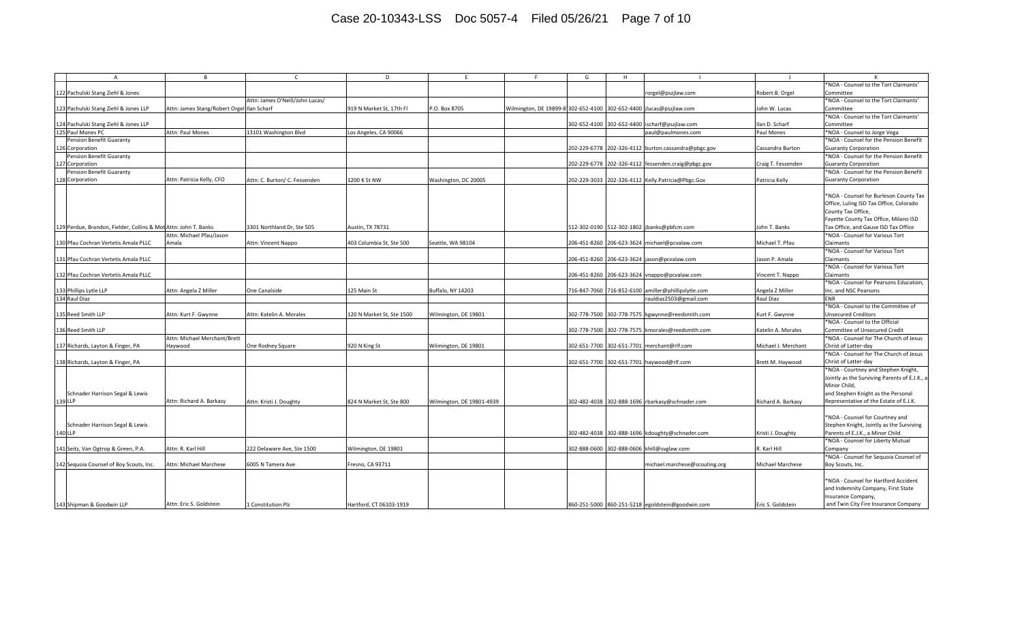## Case 20-10343-LSS Doc 5057-4 Filed 05/26/21 Page 7 of 10

| $\mathsf{A}$                                                    | <b>B</b>                                   |                                 | D                         |                           |                                                                     | G            | H |                                                     |                         |                                                                                                                                                  |
|-----------------------------------------------------------------|--------------------------------------------|---------------------------------|---------------------------|---------------------------|---------------------------------------------------------------------|--------------|---|-----------------------------------------------------|-------------------------|--------------------------------------------------------------------------------------------------------------------------------------------------|
|                                                                 |                                            |                                 |                           |                           |                                                                     |              |   |                                                     |                         | NOA - Counsel to the Tort Claimants'                                                                                                             |
| 122 Pachulski Stang Ziehl & Jones                               |                                            |                                 |                           |                           |                                                                     |              |   | rorgel@pszjlaw.com                                  | Robert B. Orgel         | Committee                                                                                                                                        |
|                                                                 |                                            | Attn: James O'Neill/John Lucas/ |                           |                           |                                                                     |              |   |                                                     |                         | *NOA - Counsel to the Tort Claimants'                                                                                                            |
| 123 Pachulski Stang Ziehl & Jones LLP                           | Attn: James Stang/Robert Orgel Ilan Scharf |                                 | 919 N Market St, 17th Fl  | P.O. Box 8705             | Wilmington, DE 19899-81302-652-4100 302-652-4400 jlucas@pszjlaw.com |              |   |                                                     | John W. Lucas           | Committee                                                                                                                                        |
|                                                                 |                                            |                                 |                           |                           |                                                                     |              |   |                                                     |                         | *NOA - Counsel to the Tort Claimants'                                                                                                            |
| 124 Pachulski Stang Ziehl & Jones LLP                           |                                            |                                 |                           |                           |                                                                     |              |   | 302-652-4100 302-652-4400 ischarf@pszjlaw.com       | Ilan D. Scharf          | Committee                                                                                                                                        |
| 125 Paul Mones PC                                               | Attn: Paul Mones                           | 13101 Washington Blvd           | Los Angeles, CA 90066     |                           |                                                                     |              |   | paul@paulmones.com                                  | Paul Mones              | *NOA - Counsel to Jorge Vega                                                                                                                     |
| Pension Benefit Guaranty                                        |                                            |                                 |                           |                           |                                                                     |              |   |                                                     |                         | *NOA - Counsel for the Pension Benefit                                                                                                           |
| 126 Corporation                                                 |                                            |                                 |                           |                           |                                                                     |              |   | 202-229-6778 202-326-4112 burton.cassandra@pbgc.gov | Cassandra Burton        | <b>Guaranty Corporation</b>                                                                                                                      |
| Pension Benefit Guaranty                                        |                                            |                                 |                           |                           |                                                                     |              |   |                                                     |                         | *NOA - Counsel for the Pension Benefit                                                                                                           |
| 127 Corporation                                                 |                                            |                                 |                           |                           |                                                                     | 202-229-6778 |   | 202-326-4112 fessenden.craig@pbgc.gov               | Craig T. Fessenden      | <b>Guaranty Corporation</b>                                                                                                                      |
| Pension Benefit Guaranty                                        |                                            |                                 |                           |                           |                                                                     |              |   |                                                     |                         | NOA - Counsel for the Pension Benefit                                                                                                            |
| 128 Corporation                                                 | Attn: Patricia Kelly, CFO                  | Attn: C. Burton/ C. Fessenden   | 1200 K St NW              | Washington, DC 20005      |                                                                     | 202-229-3033 |   | 202-326-4112 Kelly.Patricia@Pbgc.Gov                | Patricia Kelly          | <b>Guaranty Corporation</b>                                                                                                                      |
|                                                                 |                                            |                                 |                           |                           |                                                                     |              |   |                                                     |                         | *NOA - Counsel for Burleson County Tax<br>Office, Luling ISD Tax Office, Colorado<br>County Tax Office,<br>Fayette County Tax Office, Milano ISD |
| 129 Perdue, Brandon, Fielder, Collins & Mot Attn: John T. Banks |                                            | 3301 Northland Dr, Ste 505      | Austin, TX 78731          |                           |                                                                     |              |   | 512-302-0190 512-302-1802 jbanks@pbfcm.com          | John T. Banks           | Tax Office, and Gause ISD Tax Office                                                                                                             |
|                                                                 | Attn: Michael Pfau/Jason                   |                                 |                           |                           |                                                                     |              |   |                                                     |                         | *NOA - Counsel for Various Tort                                                                                                                  |
| 130 Pfau Cochran Vertetis Amala PLLC                            | Amala                                      | Attn: Vincent Nappo             | 403 Columbia St, Ste 500  | Seattle, WA 98104         |                                                                     | 206-451-8260 |   | 206-623-3624 michael@pcvalaw.com                    | Michael T. Pfau         | Claimants                                                                                                                                        |
|                                                                 |                                            |                                 |                           |                           |                                                                     |              |   |                                                     |                         | *NOA - Counsel for Various Tort                                                                                                                  |
| 131 Pfau Cochran Vertetis Amala PLLC                            |                                            |                                 |                           |                           |                                                                     |              |   | 206-451-8260 206-623-3624 jason@pcvalaw.com         | Jason P. Amala          | Claimants                                                                                                                                        |
|                                                                 |                                            |                                 |                           |                           |                                                                     |              |   |                                                     |                         | *NOA - Counsel for Various Tort                                                                                                                  |
| 132 Pfau Cochran Vertetis Amala PLLC                            |                                            |                                 |                           |                           |                                                                     | 206-451-8260 |   | 206-623-3624 vnappo@pcvalaw.com                     | Vincent T. Nappo        | Claimants                                                                                                                                        |
|                                                                 |                                            |                                 |                           |                           |                                                                     |              |   |                                                     |                         | *NOA - Counsel for Pearsons Education,                                                                                                           |
| 133 Phillips Lytle LLP                                          | Attn: Angela Z Miller                      | One Canalside                   | 125 Main St               | Buffalo, NY 14203         |                                                                     | 716-847-7060 |   | 716-852-6100 amiller@phillipslytle.com              | Angela Z Miller         | Inc. and NSC Pearsons                                                                                                                            |
| 134 Raul Diaz                                                   |                                            |                                 |                           |                           |                                                                     |              |   | rauldiaz2503@gmail.com                              | <b>Raul Diaz</b>        | <b>ENR</b>                                                                                                                                       |
|                                                                 |                                            |                                 |                           |                           |                                                                     |              |   |                                                     |                         | NOA - Counsel to the Committee of                                                                                                                |
| 135 Reed Smith LLP                                              | Attn: Kurt F. Gwynne                       | Attn: Katelin A. Morales        | 120 N Market St. Ste 1500 | Wilmington, DE 19801      |                                                                     |              |   | 302-778-7500 302-778-7575 kgwynne@reedsmith.com     | Kurt F. Gwynne          | <b>Unsecured Creditors</b>                                                                                                                       |
|                                                                 |                                            |                                 |                           |                           |                                                                     |              |   |                                                     |                         | *NOA - Counsel to the Official                                                                                                                   |
| 136 Reed Smith LLP                                              | Attn: Michael Merchant/Brett               |                                 |                           |                           |                                                                     | 302-778-7500 |   | 302-778-7575 kmorales@reedsmith.com                 | Katelin A. Morales      | Committee of Unsecured Credit<br>*NOA - Counsel for The Church of Jesus                                                                          |
| 137 Richards, Layton & Finger, PA                               | Haywood                                    | One Rodney Square               | 320 N King St             | Wilmington, DE 19801      |                                                                     |              |   | 302-651-7700 302-651-7701 merchant@rlf.com          | Michael J. Merchant     | Christ of Latter-day                                                                                                                             |
|                                                                 |                                            |                                 |                           |                           |                                                                     |              |   |                                                     |                         | *NOA - Counsel for The Church of Jesus                                                                                                           |
| 138 Richards, Layton & Finger, PA                               |                                            |                                 |                           |                           |                                                                     |              |   | 302-651-7700 302-651-7701 haywood@rlf.com           | Brett M. Haywood        | Christ of Latter-day                                                                                                                             |
|                                                                 |                                            |                                 |                           |                           |                                                                     |              |   |                                                     |                         | *NOA - Courtney and Stephen Knight,                                                                                                              |
| Schnader Harrison Segal & Lewis<br>139 LLP                      | Attn: Richard A. Barkasy                   | Attn: Kristi J. Doughty         | 824 N Market St. Ste 800  | Wilmington, DE 19801-4939 |                                                                     |              |   | 302-482-4038 302-888-1696 rbarkasy@schnader.com     | Richard A. Barkasy      | Jointly as the Surviving Parents of E.J.K., a<br>Minor Child.<br>and Stephen Knight as the Personal<br>Representative of the Estate of E.J.K.    |
| Schnader Harrison Segal & Lewis                                 |                                            |                                 |                           |                           |                                                                     |              |   |                                                     |                         | *NOA - Counsel for Courtney and<br>Stephen Knight, Jointly as the Surviving                                                                      |
| 140 LLP                                                         |                                            |                                 |                           |                           |                                                                     |              |   | 302-482-4038 302-888-1696 kdoughty@schnader.com     | Kristi J. Doughty       | Parents of E.J.K., a Minor Child                                                                                                                 |
|                                                                 |                                            |                                 |                           |                           |                                                                     |              |   |                                                     |                         | *NOA - Counsel for Liberty Mutual                                                                                                                |
| 141 Seitz, Van Ogtrop & Green, P.A.                             | Attn: R. Karl Hill                         | 222 Delaware Ave, Ste 1500      | Wilmington, DE 19801      |                           |                                                                     |              |   | 302-888-0600 302-888-0606 khill@svglaw.com          | R. Karl Hill            | Company                                                                                                                                          |
|                                                                 |                                            |                                 |                           |                           |                                                                     |              |   |                                                     |                         | *NOA - Counsel for Sequoia Counsel of                                                                                                            |
| 142 Sequoia Counsel of Boy Scouts, Inc.                         | Attn: Michael Marchese                     | 6005 N Tamera Ave               | Fresno, CA 93711          |                           |                                                                     |              |   | michael.marchese@scouting.org                       | <b>Michael Marchese</b> | Boy Scouts, Inc.                                                                                                                                 |
|                                                                 |                                            |                                 |                           |                           |                                                                     |              |   |                                                     |                         | *NOA - Counsel for Hartford Accident<br>and Indemnity Company, First State<br>Insurance Company,                                                 |
| 143 Shipman & Goodwin LLP                                       | Attn: Eric S. Goldstein                    | 1 Constitution Plz              | Hartford, CT 06103-1919   |                           |                                                                     |              |   | 860-251-5000 860-251-5218 egoldstein@goodwin.com    | Eric S. Goldstein       | and Twin City Fire Insurance Company                                                                                                             |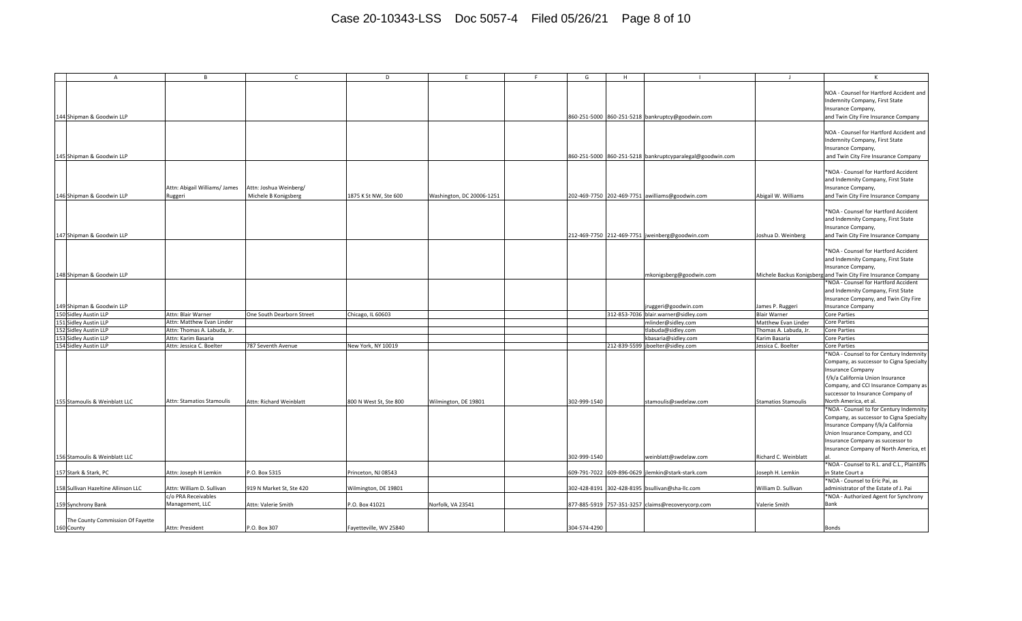## Case 20-10343-LSS Doc 5057-4 Filed 05/26/21 Page 8 of 10

| $\mathsf{A}$                                   | <b>B</b>                                 | $\mathsf{C}$                                   | D                      | F.                        | E. | G                         | H            |                                                           |                            | K                                                                                                                                                                                                                                                                                                                                                                                                                                                                                                   |
|------------------------------------------------|------------------------------------------|------------------------------------------------|------------------------|---------------------------|----|---------------------------|--------------|-----------------------------------------------------------|----------------------------|-----------------------------------------------------------------------------------------------------------------------------------------------------------------------------------------------------------------------------------------------------------------------------------------------------------------------------------------------------------------------------------------------------------------------------------------------------------------------------------------------------|
| 144 Shipman & Goodwin LLP                      |                                          |                                                |                        |                           |    |                           |              | 860-251-5000 860-251-5218 bankruptcy@goodwin.com          |                            | NOA - Counsel for Hartford Accident and<br>Indemnity Company, First State<br>Insurance Company,<br>and Twin City Fire Insurance Company                                                                                                                                                                                                                                                                                                                                                             |
| 145 Shipman & Goodwin LLP                      |                                          |                                                |                        |                           |    |                           |              | 860-251-5000 860-251-5218 bankruptcyparalegal@goodwin.com |                            | NOA - Counsel for Hartford Accident and<br>Indemnity Company, First State<br>Insurance Company,<br>and Twin City Fire Insurance Company                                                                                                                                                                                                                                                                                                                                                             |
| 146 Shipman & Goodwin LLP                      | Attn: Abigail Williams/ James<br>Ruggeri | Attn: Joshua Weinberg/<br>Michele B Konigsberg | 1875 K St NW, Ste 600  | Washington, DC 20006-1251 |    |                           |              | 202-469-7750 202-469-7751 awilliams@goodwin.com           | Abigail W. Williams        | *NOA - Counsel for Hartford Accident<br>and Indemnity Company, First State<br>Insurance Company,<br>and Twin City Fire Insurance Company                                                                                                                                                                                                                                                                                                                                                            |
| 147 Shipman & Goodwin LLP                      |                                          |                                                |                        |                           |    |                           |              | 212-469-7750 212-469-7751 jweinberg@goodwin.com           | Joshua D. Weinberg         | *NOA - Counsel for Hartford Accident<br>and Indemnity Company, First State<br>Insurance Company,<br>and Twin City Fire Insurance Company                                                                                                                                                                                                                                                                                                                                                            |
| 148 Shipman & Goodwin LLP                      |                                          |                                                |                        |                           |    |                           |              | mkonigsberg@goodwin.com                                   |                            | *NOA - Counsel for Hartford Accident<br>and Indemnity Company, First State<br>Insurance Company,<br>Michele Backus Konigsberg and Twin City Fire Insurance Company                                                                                                                                                                                                                                                                                                                                  |
| 149 Shipman & Goodwin LLP                      |                                          |                                                |                        |                           |    |                           |              | ruggeri@goodwin.com                                       | James P. Ruggeri           | NOA - Counsel for Hartford Accident<br>and Indemnity Company, First State<br>Insurance Company, and Twin City Fire<br><b>Insurance Company</b>                                                                                                                                                                                                                                                                                                                                                      |
| 150 Sidley Austin LLP                          | Attn: Blair Warner                       | One South Dearborn Street                      | Chicago, IL 60603      |                           |    |                           |              | 312-853-7036 blair.warner@sidley.com                      | <b>Blair Warner</b>        | Core Parties                                                                                                                                                                                                                                                                                                                                                                                                                                                                                        |
| 151 Sidley Austin LLP                          | Attn: Matthew Evan Linder                |                                                |                        |                           |    |                           |              | mlinder@sidley.com                                        | Matthew Evan Linder        | Core Parties                                                                                                                                                                                                                                                                                                                                                                                                                                                                                        |
| 152 Sidley Austin LLP                          | Attn: Thomas A. Labuda, Jr.              |                                                |                        |                           |    |                           |              | tlabuda@sidley.com                                        | Thomas A. Labuda, Jr.      | <b>Core Parties</b>                                                                                                                                                                                                                                                                                                                                                                                                                                                                                 |
| 153 Sidley Austin LLP                          | Attn: Karim Basaria                      |                                                |                        |                           |    |                           |              | kbasaria@sidley.com                                       | Karim Basaria              | Core Parties                                                                                                                                                                                                                                                                                                                                                                                                                                                                                        |
| 154 Sidley Austin LLP                          | Attn: Jessica C. Boelter                 | 787 Seventh Avenue                             | New York, NY 10019     |                           |    |                           | 212-839-5599 | jboelter@sidley.com                                       | Jessica C. Boelter         | <b>Core Parties</b>                                                                                                                                                                                                                                                                                                                                                                                                                                                                                 |
| 155 Stamoulis & Weinblatt LLC                  | Attn: Stamatios Stamoulis                | Attn: Richard Weinblatt                        | 800 N West St. Ste 800 | Wilmington, DE 19801      |    | 302-999-1540              |              | stamoulis@swdelaw.com                                     | <b>Stamatios Stamoulis</b> | *NOA - Counsel to for Century Indemnity<br>Company, as successor to Cigna Specialty<br>Insurance Company<br>f/k/a California Union Insurance<br>Company, and CCI Insurance Company as<br>successor to Insurance Company of<br>North America, et al.<br>*NOA - Counsel to for Century Indemnity<br>Company, as successor to Cigna Specialty<br>Insurance Company f/k/a California<br>Union Insurance Company, and CCI<br>Insurance Company as successor to<br>Insurance Company of North America, et |
| 156 Stamoulis & Weinblatt LLC                  |                                          |                                                |                        |                           |    | 302-999-1540              |              | weinblatt@swdelaw.com                                     | Richard C. Weinblatt       | *NOA - Counsel to R.L. and C.L., Plaintiffs                                                                                                                                                                                                                                                                                                                                                                                                                                                         |
| 157 Stark & Stark, PC                          | Attn: Joseph H Lemkin                    | P.O. Box 5315                                  | Princeton, NJ 08543    |                           |    | 609-791-7022 609-896-0629 |              | jlemkin@stark-stark.com                                   | Joseph H. Lemkin           | in State Court a                                                                                                                                                                                                                                                                                                                                                                                                                                                                                    |
| 158 Sullivan Hazeltine Allinson LLC            | Attn: William D. Sullivan                | 919 N Market St, Ste 420                       | Wilmington, DE 19801   |                           |    | 302-428-8191              | 302-428-8195 | bsullivan@sha-llc.com                                     | William D. Sullivan        | *NOA - Counsel to Eric Pai, as<br>administrator of the Estate of J. Pai                                                                                                                                                                                                                                                                                                                                                                                                                             |
| 159 Synchrony Bank                             | c/o PRA Receivables<br>Management, LLC   | Attn: Valerie Smith                            | P.O. Box 41021         | Norfolk, VA 23541         |    |                           |              | 877-885-5919 757-351-3257 claims@recoverycorp.com         | Valerie Smith              | *NOA - Authorized Agent for Synchrony<br>Bank                                                                                                                                                                                                                                                                                                                                                                                                                                                       |
| The County Commission Of Fayette<br>160 County | Attn: President                          | P.O. Box 307                                   | Fayetteville, WV 25840 |                           |    | 304-574-4290              |              |                                                           |                            | <b>Bonds</b>                                                                                                                                                                                                                                                                                                                                                                                                                                                                                        |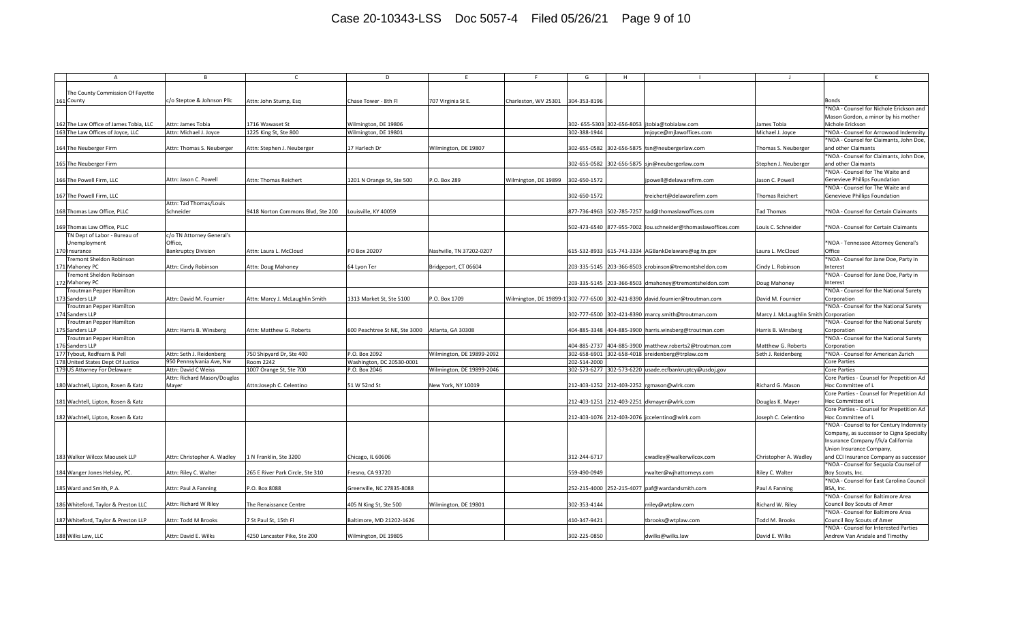## Case 20-10343-LSS Doc 5057-4 Filed 05/26/21 Page 9 of 10

| The County Commission Of Fayette                                                                                                                                                                                                |                                                                 |  |
|---------------------------------------------------------------------------------------------------------------------------------------------------------------------------------------------------------------------------------|-----------------------------------------------------------------|--|
| 161 County<br>c/o Steptoe & Johnson Pllc<br>304-353-8196<br>Attn: John Stump, Esg<br>Chase Tower - 8th Fl<br>707 Virginia St E.<br>Charleston, WV 25301                                                                         | Bonds                                                           |  |
|                                                                                                                                                                                                                                 | *NOA - Counsel for Nichole Erickson and                         |  |
|                                                                                                                                                                                                                                 | Mason Gordon, a minor by his mother                             |  |
| The Law Office of James Tobia, LLC<br>Attn: James Tobia<br>1716 Wawaset St<br>Wilmington, DE 19806<br>302-655-5303 302-656-8053<br>jtobia@tobialaw.com<br>ames Tobia                                                            | Nichole Erickson                                                |  |
| he Law Offices of Joyce, LLC<br>Wilmington, DE 19801<br>302-388-1944<br>Attn: Michael J. Joyce<br>mjoyce@mjlawoffices.com                                                                                                       |                                                                 |  |
| 1225 King St, Ste 800<br>Michael J. Joyce                                                                                                                                                                                       | *NOA - Counsel for Arrowood Indemnity                           |  |
|                                                                                                                                                                                                                                 | *NOA - Counsel for Claimants, John Doe,                         |  |
| Attn: Thomas S. Neuberger<br>17 Harlech Dr<br>Wilmington, DE 19807<br>302-655-0582 302-656-5875<br>164 The Neuberger Firm<br>Attn: Stephen J. Neuberger<br>tsn@neubergerlaw.com                                                 | and other Claimants<br>homas S. Neuberger                       |  |
|                                                                                                                                                                                                                                 | *NOA - Counsel for Claimants, John Doe,                         |  |
| 165 The Neuberger Firm<br>302-655-0582 302-656-5875 sjn@neubergerlaw.com                                                                                                                                                        | Stephen J. Neuberger<br>and other Claimants                     |  |
|                                                                                                                                                                                                                                 | *NOA - Counsel for The Waite and                                |  |
| Attn: Jason C. Powell<br>1201 N Orange St, Ste 500<br>P.O. Box 289<br>Wilmington, DE 19899<br>302-650-1572<br>166 The Powell Firm, LLC<br>Attn: Thomas Reichert<br>jpowell@delawarefirm.com<br>Jason C. Powell                  | Genevieve Phillips Foundation                                   |  |
|                                                                                                                                                                                                                                 | *NOA - Counsel for The Waite and                                |  |
| 167 The Powell Firm, LLC<br>302-650-1572<br>treichert@delawarefirm.com<br>Thomas Reichert                                                                                                                                       | Genevieve Phillips Foundation                                   |  |
| Attn: Tad Thomas/Louis                                                                                                                                                                                                          |                                                                 |  |
| 877-736-4963 502-785-7257<br>168 Thomas Law Office, PLLC<br>Schneider<br>9418 Norton Commons Blvd, Ste 200<br>ouisville, KY 40059.<br>tad@thomaslawoffices.com<br>Tad Thomas                                                    | NOA - Counsel for Certain Claimants                             |  |
|                                                                                                                                                                                                                                 |                                                                 |  |
| Thomas Law Office, PLLC<br>502-473-6540 877-955-7002 lou.schneider@thomaslawoffices.com<br>Louis C. Schneider                                                                                                                   | *NOA - Counsel for Certain Claimants                            |  |
| 'N Dept of Labor - Bureau of<br>c/o TN Attorney General's                                                                                                                                                                       |                                                                 |  |
| Office,<br>Unemployment                                                                                                                                                                                                         | *NOA - Tennessee Attorney General's                             |  |
| Nashville, TN 37202-0207<br>170 Insurance<br><b>Bankruptcy Division</b><br>Attn: Laura L. McCloud<br>PO Box 20207<br>615-532-8933 615-741-3334 AGBankDelaware@ag.tn.gov<br>Laura L. McCloud                                     | Office                                                          |  |
| remont Sheldon Robinson                                                                                                                                                                                                         | *NOA - Counsel for Jane Doe, Party in                           |  |
| Mahoney PC<br>Attn: Cindy Robinson<br>Bridgeport, CT 06604<br>203-335-5145 203-366-8503 crobinson@tremontsheldon.com<br>Cindy L. Robinson<br>Attn: Doug Mahoney<br>64 Lyon Ter                                                  | nterest                                                         |  |
| remont Sheldon Robinson                                                                                                                                                                                                         | *NOA - Counsel for Jane Doe, Party in                           |  |
| 172 Mahoney PC<br>203-335-5145 203-366-8503<br>dmahoney@tremontsheldon.com<br>Doug Mahoney                                                                                                                                      | nterest                                                         |  |
|                                                                                                                                                                                                                                 |                                                                 |  |
| routman Pepper Hamilton                                                                                                                                                                                                         | *NOA - Counsel for the National Surety                          |  |
| 173 Sanders LLP<br>Attn: David M. Fournier<br>1313 Market St, Ste 5100<br>P.O. Box 1709<br>Wilmington, DE 19899-11302-777-6500 302-421-8390 david.fournier@troutman.com<br>Attn: Marcy J. McLaughlin Smith<br>David M. Fournier | Corporation                                                     |  |
| routman Pepper Hamilton                                                                                                                                                                                                         | *NOA - Counsel for the National Surety                          |  |
| 174 Sanders LLP<br>302-777-6500 302-421-8390<br>marcy.smith@troutman.com                                                                                                                                                        | Marcy J. McLaughlin Smith Corporation                           |  |
| routman Pepper Hamilton                                                                                                                                                                                                         | *NOA - Counsel for the National Surety                          |  |
| 404-885-3348 404-885-3900 harris.winsberg@troutman.com<br>175 Sanders LLP<br>Attn: Harris B. Winsberg<br>Attn: Matthew G. Roberts<br>600 Peachtree St NE, Ste 3000<br>Atlanta, GA 30308                                         | Harris B. Winsberg<br>Corporation                               |  |
| Froutman Pepper Hamilton                                                                                                                                                                                                        | *NOA - Counsel for the National Surety                          |  |
| 176 Sanders LLP<br>404-885-2737<br>404-885-3900<br>matthew.roberts2@troutman.com                                                                                                                                                | Corporation<br>Matthew G. Roberts                               |  |
| P.O. Box 2092<br>302-658-6901<br>Vbout, Redfearn & Pell<br>Attn: Seth J. Reidenberg<br>750 Shipyard Dr, Ste 400<br>Wilmington, DE 19899-2092<br>302-658-4018 sreidenberg@trplaw.com<br>Seth J. Reidenberg                       | *NOA - Counsel for American Zurich                              |  |
| United States Dept Of Justice<br>950 Pennsylvania Ave, Nw<br>Room 2242<br>Washington, DC 20530-0001<br>202-514-2000                                                                                                             | <b>Core Parties</b>                                             |  |
| 179 US Attorney For Delaware<br>Attn: David C Weiss<br>1007 Orange St, Ste 700<br>P.O. Box 2046<br>Wilmington, DE 19899-2046<br>302-573-6277 302-573-6220 usade.ecfbankruptcy@usdoj.gov                                         | <b>Core Parties</b>                                             |  |
| Attn: Richard Mason/Douglas                                                                                                                                                                                                     | Core Parties - Counsel for Prepetition Ad                       |  |
| Mayer<br>51 W 52nd St<br>212-403-1252 212-403-2252 rgmason@wlrk.com<br>180 Wachtell, Lipton, Rosen & Katz<br>Attn:Joseph C. Celentino<br>New York, NY 10019<br>Richard G. Mason                                                 | Hoc Committee of L                                              |  |
|                                                                                                                                                                                                                                 | Core Parties - Counsel for Prepetition Ad                       |  |
| 181 Wachtell, Lipton, Rosen & Katz<br>212-403-1251 212-403-2251 dkmayer@wlrk.com<br>Douglas K. Mayer                                                                                                                            | Hoc Committee of L                                              |  |
|                                                                                                                                                                                                                                 | Core Parties - Counsel for Prepetition Ad                       |  |
| 212-403-1076 212-403-2076 jccelentino@wlrk.com<br>182 Wachtell, Lipton, Rosen & Katz                                                                                                                                            | Hoc Committee of L<br>Joseph C. Celentino                       |  |
|                                                                                                                                                                                                                                 | *NOA - Counsel to for Century Indemnity                         |  |
|                                                                                                                                                                                                                                 | Company, as successor to Cigna Specialty                        |  |
|                                                                                                                                                                                                                                 | Insurance Company f/k/a California                              |  |
|                                                                                                                                                                                                                                 | Union Insurance Company,                                        |  |
| Attn: Christopher A. Wadley<br>1 N Franklin, Ste 3200<br>312-244-6717<br>183 Walker Wilcox Maousek LLP<br>Chicago, IL 60606<br>:wadley@walkerwilcox.com                                                                         | and CCI Insurance Company as successor<br>Christopher A. Wadley |  |
|                                                                                                                                                                                                                                 | *NOA - Counsel for Sequoia Counsel of                           |  |
| 559-490-0949<br>Attn: Riley C. Walter<br>265 E River Park Circle, Ste 310<br>resno, CA 93720<br>Riley C. Walter                                                                                                                 | Boy Scouts, Inc.                                                |  |
| 184 Wanger Jones Helsley, PC.<br>rwalter@wjhattorneys.com                                                                                                                                                                       |                                                                 |  |
|                                                                                                                                                                                                                                 | *NOA - Counsel for East Carolina Council                        |  |
| 252-215-4000 252-215-4077<br>185 Ward and Smith, P.A.<br>Attn: Paul A Fanning<br>P.O. Box 8088<br>Greenville, NC 27835-8088<br>paf@wardandsmith.com<br>Paul A Fanning                                                           | BSA, Inc.                                                       |  |
|                                                                                                                                                                                                                                 | *NOA - Counsel for Baltimore Area                               |  |
| Attn: Richard W Riley<br>302-353-4144<br>186 Whiteford, Taylor & Preston LLC<br>The Renaissance Centre<br>405 N King St, Ste 500<br>Wilmington, DE 19801<br>Richard W. Riley<br>rriley@wtplaw.com                               | Council Boy Scouts of Amer                                      |  |
|                                                                                                                                                                                                                                 | *NOA - Counsel for Baltimore Area                               |  |
| 410-347-9421<br>187 Whiteford, Taylor & Preston LLP<br>Attn: Todd M Brooks<br>7 St Paul St, 15th Fl<br>Baltimore, MD 21202-1626<br>tbrooks@wtplaw.com<br>Fodd M. Brooks                                                         | Council Boy Scouts of Amer                                      |  |
|                                                                                                                                                                                                                                 | *NOA - Counsel for Interested Parties                           |  |
| Attn: David E. Wilks<br>302-225-0850<br>David E. Wilks<br>188 Wilks Law, LLC<br>4250 Lancaster Pike, Ste 200<br>Wilmington, DE 19805<br>dwilks@wilks.law                                                                        | Andrew Van Arsdale and Timothy                                  |  |